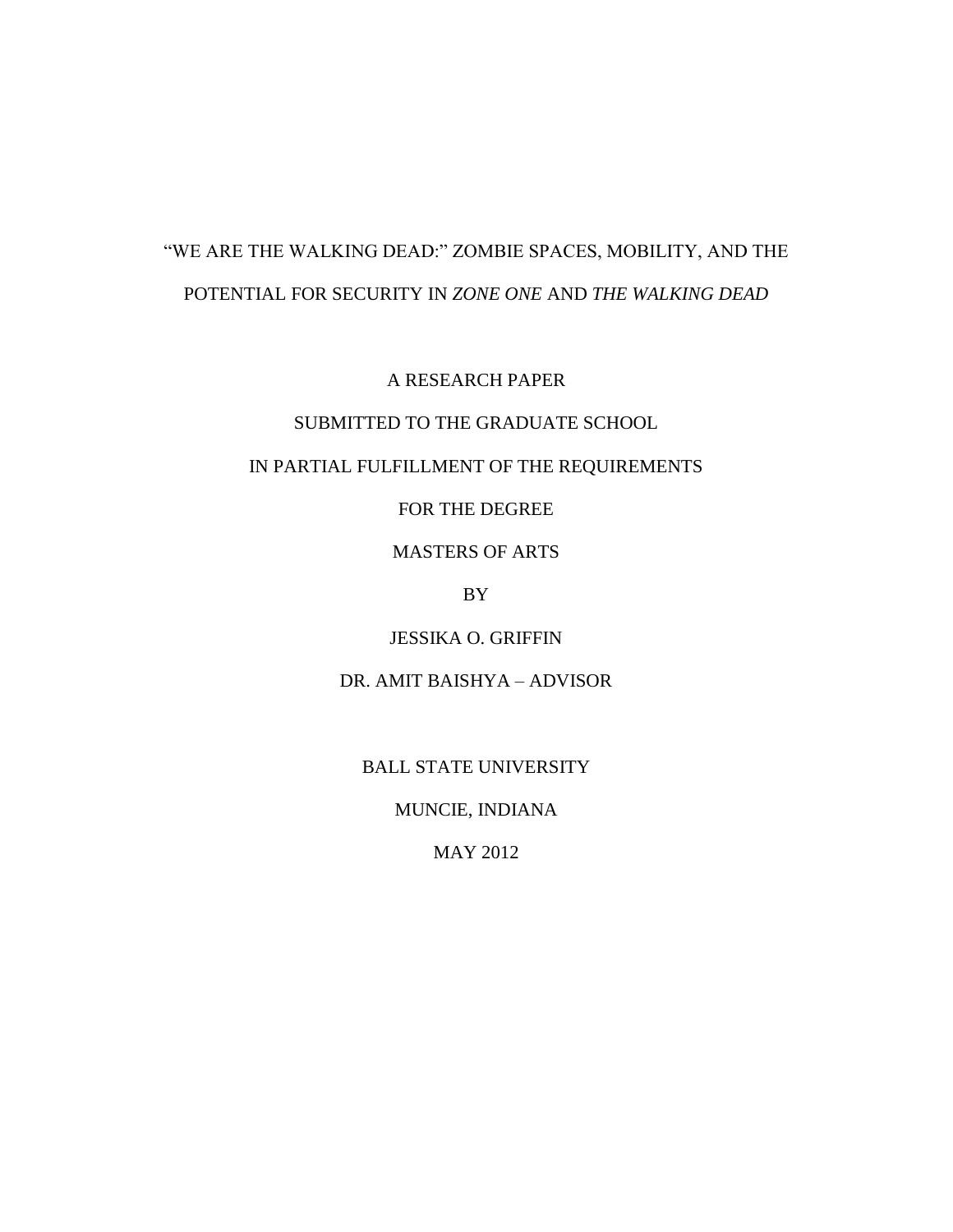# "WE ARE THE WALKING DEAD:" ZOMBIE SPACES, MOBILITY, AND THE POTENTIAL FOR SECURITY IN *ZONE ONE* AND *THE WALKING DEAD*

A RESEARCH PAPER

### SUBMITTED TO THE GRADUATE SCHOOL

### IN PARTIAL FULFILLMENT OF THE REQUIREMENTS

FOR THE DEGREE

MASTERS OF ARTS

BY

JESSIKA O. GRIFFIN

DR. AMIT BAISHYA – ADVISOR

BALL STATE UNIVERSITY

MUNCIE, INDIANA

MAY 2012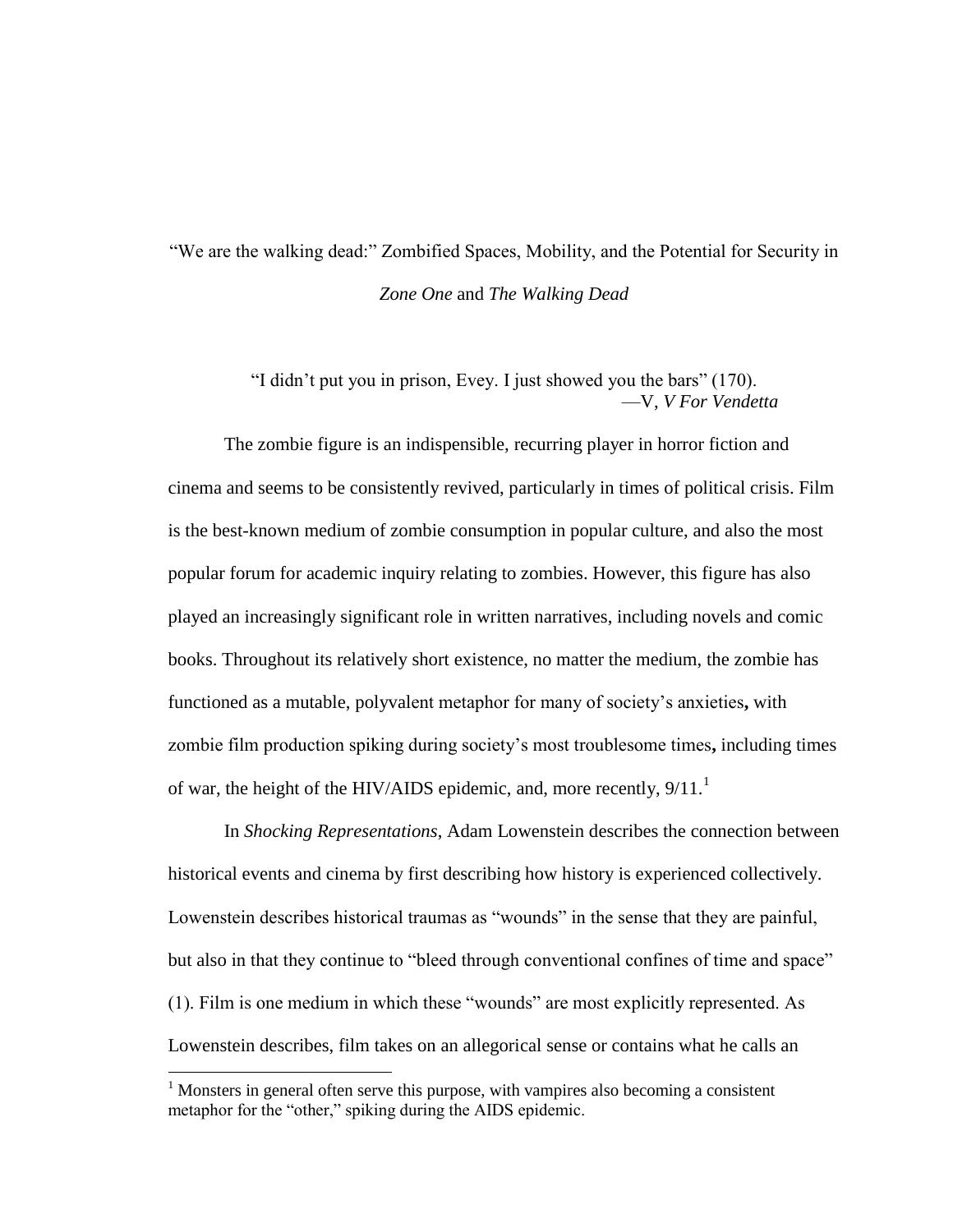## "We are the walking dead:" Zombified Spaces, Mobility, and the Potential for Security in *Zone One* and *The Walking Dead*

"I didn't put you in prison, Evey. I just showed you the bars" (170). —V, *V For Vendetta*

The zombie figure is an indispensible, recurring player in horror fiction and cinema and seems to be consistently revived, particularly in times of political crisis. Film is the best-known medium of zombie consumption in popular culture, and also the most popular forum for academic inquiry relating to zombies. However, this figure has also played an increasingly significant role in written narratives, including novels and comic books. Throughout its relatively short existence, no matter the medium, the zombie has functioned as a mutable, polyvalent metaphor for many of society's anxieties**,** with zombie film production spiking during society's most troublesome times**,** including times of war, the height of the HIV/AIDS epidemic, and, more recently,  $9/11$ .<sup>1</sup>

In *Shocking Representations*, Adam Lowenstein describes the connection between historical events and cinema by first describing how history is experienced collectively. Lowenstein describes historical traumas as "wounds" in the sense that they are painful, but also in that they continue to "bleed through conventional confines of time and space" (1). Film is one medium in which these "wounds" are most explicitly represented. As Lowenstein describes, film takes on an allegorical sense or contains what he calls an

l

 $<sup>1</sup>$  Monsters in general often serve this purpose, with vampires also becoming a consistent</sup> metaphor for the "other," spiking during the AIDS epidemic.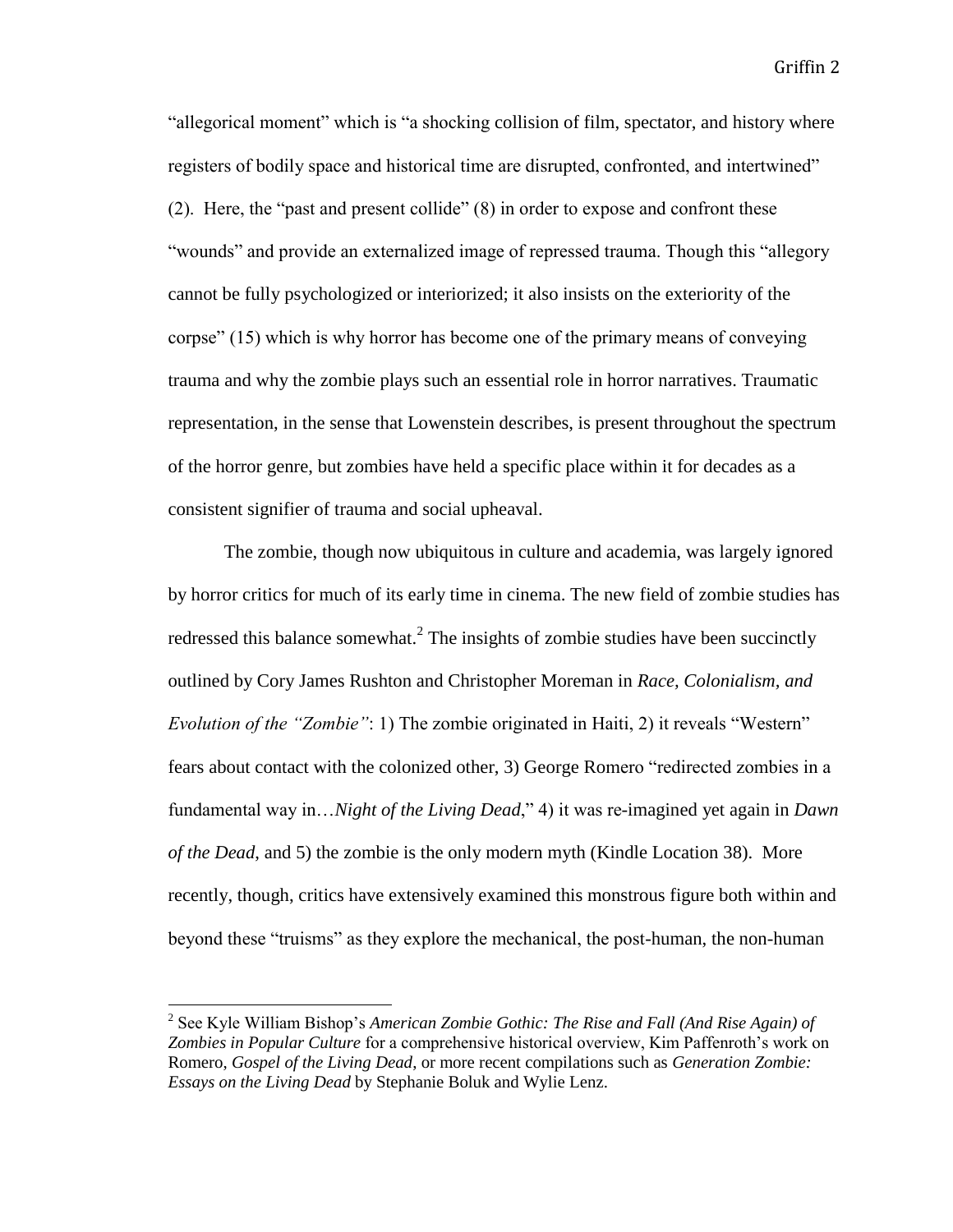"allegorical moment" which is "a shocking collision of film, spectator, and history where registers of bodily space and historical time are disrupted, confronted, and intertwined" (2). Here, the "past and present collide" (8) in order to expose and confront these "wounds" and provide an externalized image of repressed trauma. Though this "allegory cannot be fully psychologized or interiorized; it also insists on the exteriority of the corpse" (15) which is why horror has become one of the primary means of conveying trauma and why the zombie plays such an essential role in horror narratives. Traumatic representation, in the sense that Lowenstein describes, is present throughout the spectrum of the horror genre, but zombies have held a specific place within it for decades as a consistent signifier of trauma and social upheaval.

The zombie, though now ubiquitous in culture and academia, was largely ignored by horror critics for much of its early time in cinema. The new field of zombie studies has redressed this balance somewhat.<sup>2</sup> The insights of zombie studies have been succinctly outlined by Cory James Rushton and Christopher Moreman in *Race, Colonialism, and Evolution of the "Zombie"*: 1) The zombie originated in Haiti, 2) it reveals "Western" fears about contact with the colonized other, 3) George Romero "redirected zombies in a fundamental way in…*Night of the Living Dead*," 4) it was re-imagined yet again in *Dawn of the Dead*, and 5) the zombie is the only modern myth (Kindle Location 38). More recently, though, critics have extensively examined this monstrous figure both within and beyond these "truisms" as they explore the mechanical, the post-human, the non-human

<sup>&</sup>lt;sup>2</sup> See Kyle William Bishop's *American Zombie Gothic: The Rise and Fall (And Rise Again) of Zombies in Popular Culture* for a comprehensive historical overview, Kim Paffenroth's work on Romero, *Gospel of the Living Dead*, or more recent compilations such as *Generation Zombie: Essays on the Living Dead* by Stephanie Boluk and Wylie Lenz.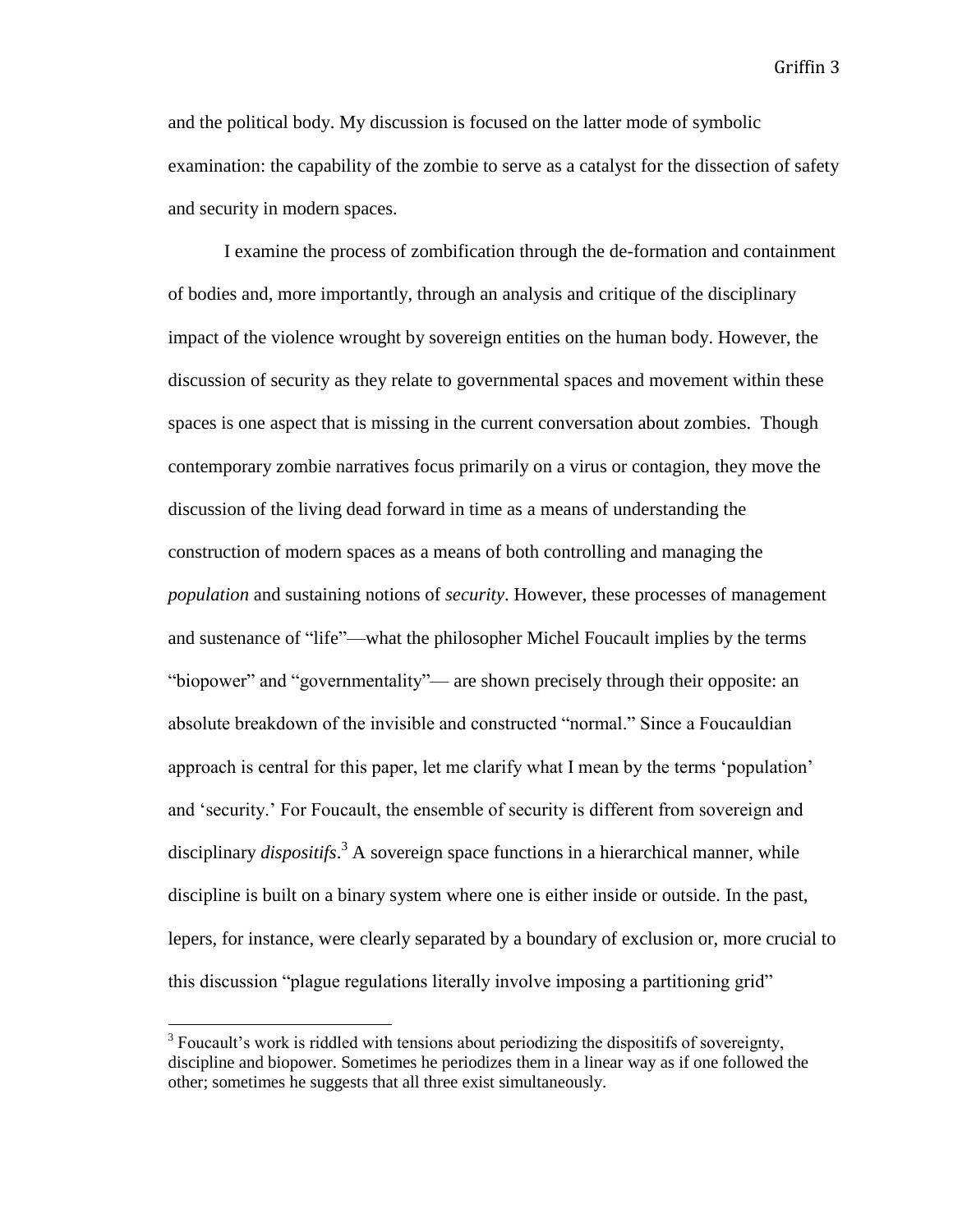and the political body. My discussion is focused on the latter mode of symbolic examination: the capability of the zombie to serve as a catalyst for the dissection of safety and security in modern spaces.

I examine the process of zombification through the de-formation and containment of bodies and, more importantly, through an analysis and critique of the disciplinary impact of the violence wrought by sovereign entities on the human body. However, the discussion of security as they relate to governmental spaces and movement within these spaces is one aspect that is missing in the current conversation about zombies. Though contemporary zombie narratives focus primarily on a virus or contagion, they move the discussion of the living dead forward in time as a means of understanding the construction of modern spaces as a means of both controlling and managing the *population* and sustaining notions of *security*. However, these processes of management and sustenance of "life"—what the philosopher Michel Foucault implies by the terms "biopower" and "governmentality"— are shown precisely through their opposite: an absolute breakdown of the invisible and constructed "normal." Since a Foucauldian approach is central for this paper, let me clarify what I mean by the terms 'population' and 'security.' For Foucault, the ensemble of security is different from sovereign and disciplinary *dispositifs*. <sup>3</sup> A sovereign space functions in a hierarchical manner, while discipline is built on a binary system where one is either inside or outside. In the past, lepers, for instance, were clearly separated by a boundary of exclusion or, more crucial to this discussion "plague regulations literally involve imposing a partitioning grid"

 $3$  Foucault's work is riddled with tensions about periodizing the dispositifs of sovereignty, discipline and biopower. Sometimes he periodizes them in a linear way as if one followed the other; sometimes he suggests that all three exist simultaneously.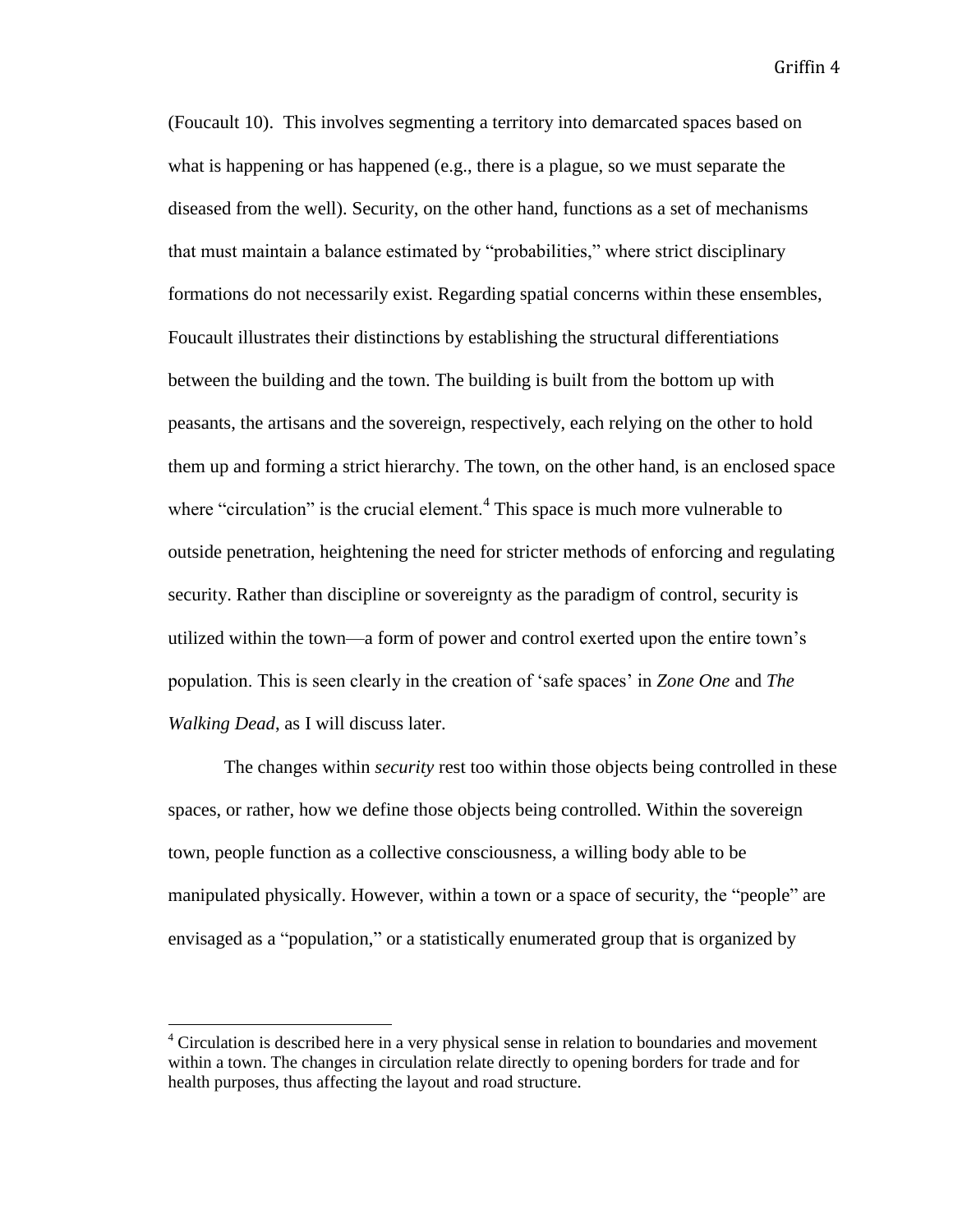(Foucault 10). This involves segmenting a territory into demarcated spaces based on what is happening or has happened (e.g., there is a plague, so we must separate the diseased from the well). Security, on the other hand, functions as a set of mechanisms that must maintain a balance estimated by "probabilities," where strict disciplinary formations do not necessarily exist. Regarding spatial concerns within these ensembles, Foucault illustrates their distinctions by establishing the structural differentiations between the building and the town. The building is built from the bottom up with peasants, the artisans and the sovereign, respectively, each relying on the other to hold them up and forming a strict hierarchy. The town, on the other hand, is an enclosed space where "circulation" is the crucial element.<sup>4</sup> This space is much more vulnerable to outside penetration, heightening the need for stricter methods of enforcing and regulating security. Rather than discipline or sovereignty as the paradigm of control, security is utilized within the town—a form of power and control exerted upon the entire town's population. This is seen clearly in the creation of 'safe spaces' in *Zone One* and *The Walking Dead*, as I will discuss later.

The changes within *security* rest too within those objects being controlled in these spaces, or rather, how we define those objects being controlled. Within the sovereign town, people function as a collective consciousness, a willing body able to be manipulated physically. However, within a town or a space of security, the "people" are envisaged as a "population," or a statistically enumerated group that is organized by

 $4$  Circulation is described here in a very physical sense in relation to boundaries and movement within a town. The changes in circulation relate directly to opening borders for trade and for health purposes, thus affecting the layout and road structure.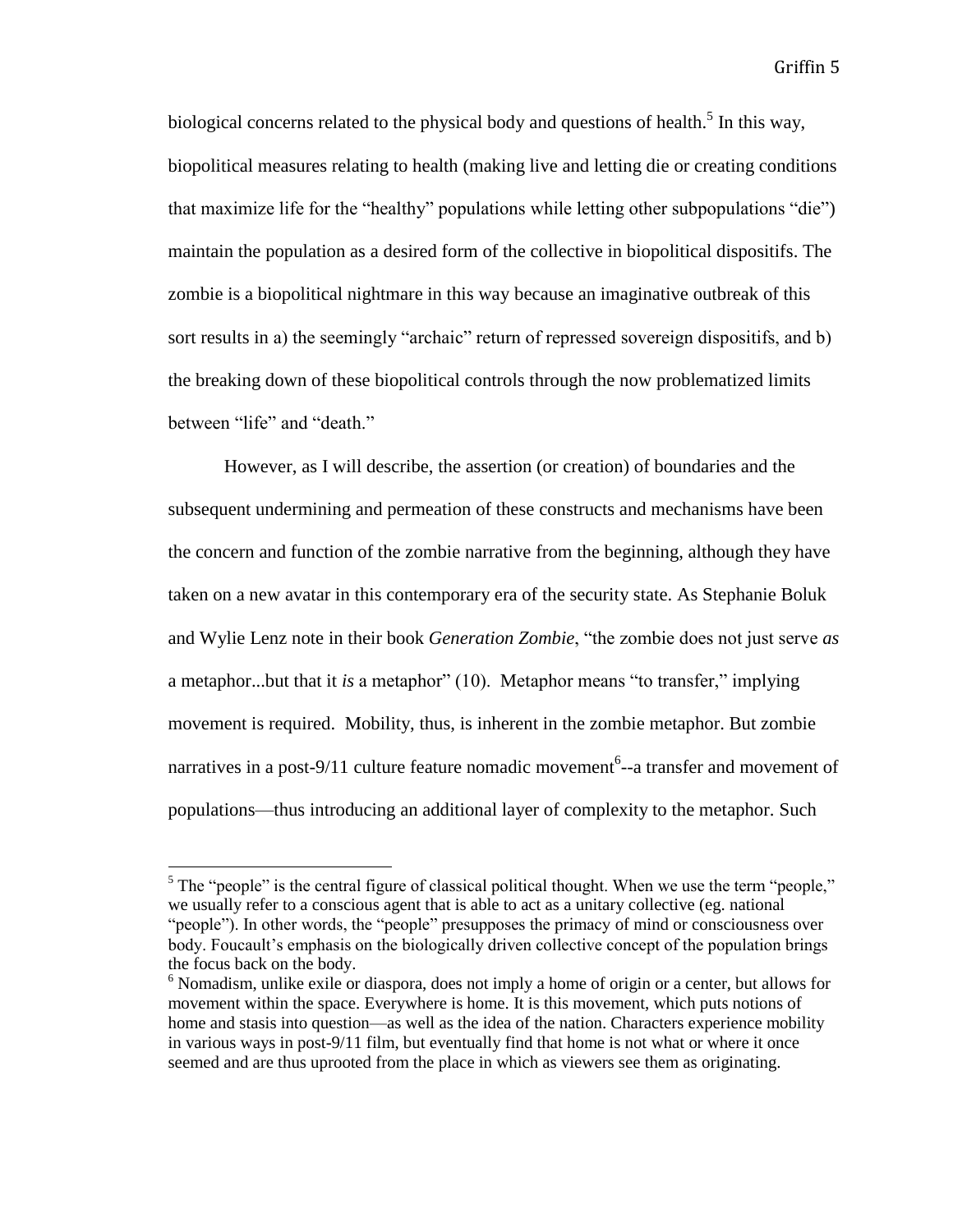biological concerns related to the physical body and questions of health.<sup>5</sup> In this way, biopolitical measures relating to health (making live and letting die or creating conditions that maximize life for the "healthy" populations while letting other subpopulations "die") maintain the population as a desired form of the collective in biopolitical dispositifs. The zombie is a biopolitical nightmare in this way because an imaginative outbreak of this sort results in a) the seemingly "archaic" return of repressed sovereign dispositifs, and b) the breaking down of these biopolitical controls through the now problematized limits between "life" and "death."

However, as I will describe, the assertion (or creation) of boundaries and the subsequent undermining and permeation of these constructs and mechanisms have been the concern and function of the zombie narrative from the beginning, although they have taken on a new avatar in this contemporary era of the security state. As Stephanie Boluk and Wylie Lenz note in their book *Generation Zombie*, "the zombie does not just serve *as* a metaphor...but that it *is* a metaphor" (10). Metaphor means "to transfer," implying movement is required. Mobility, thus, is inherent in the zombie metaphor. But zombie narratives in a post-9/11 culture feature nomadic movement<sup>6</sup>--a transfer and movement of populations—thus introducing an additional layer of complexity to the metaphor. Such

<sup>&</sup>lt;sup>5</sup> The "people" is the central figure of classical political thought. When we use the term "people," we usually refer to a conscious agent that is able to act as a unitary collective (eg. national "people"). In other words, the "people" presupposes the primacy of mind or consciousness over body. Foucault's emphasis on the biologically driven collective concept of the population brings the focus back on the body.

<sup>&</sup>lt;sup>6</sup> Nomadism, unlike exile or diaspora, does not imply a home of origin or a center, but allows for movement within the space. Everywhere is home. It is this movement, which puts notions of home and stasis into question—as well as the idea of the nation. Characters experience mobility in various ways in post-9/11 film, but eventually find that home is not what or where it once seemed and are thus uprooted from the place in which as viewers see them as originating.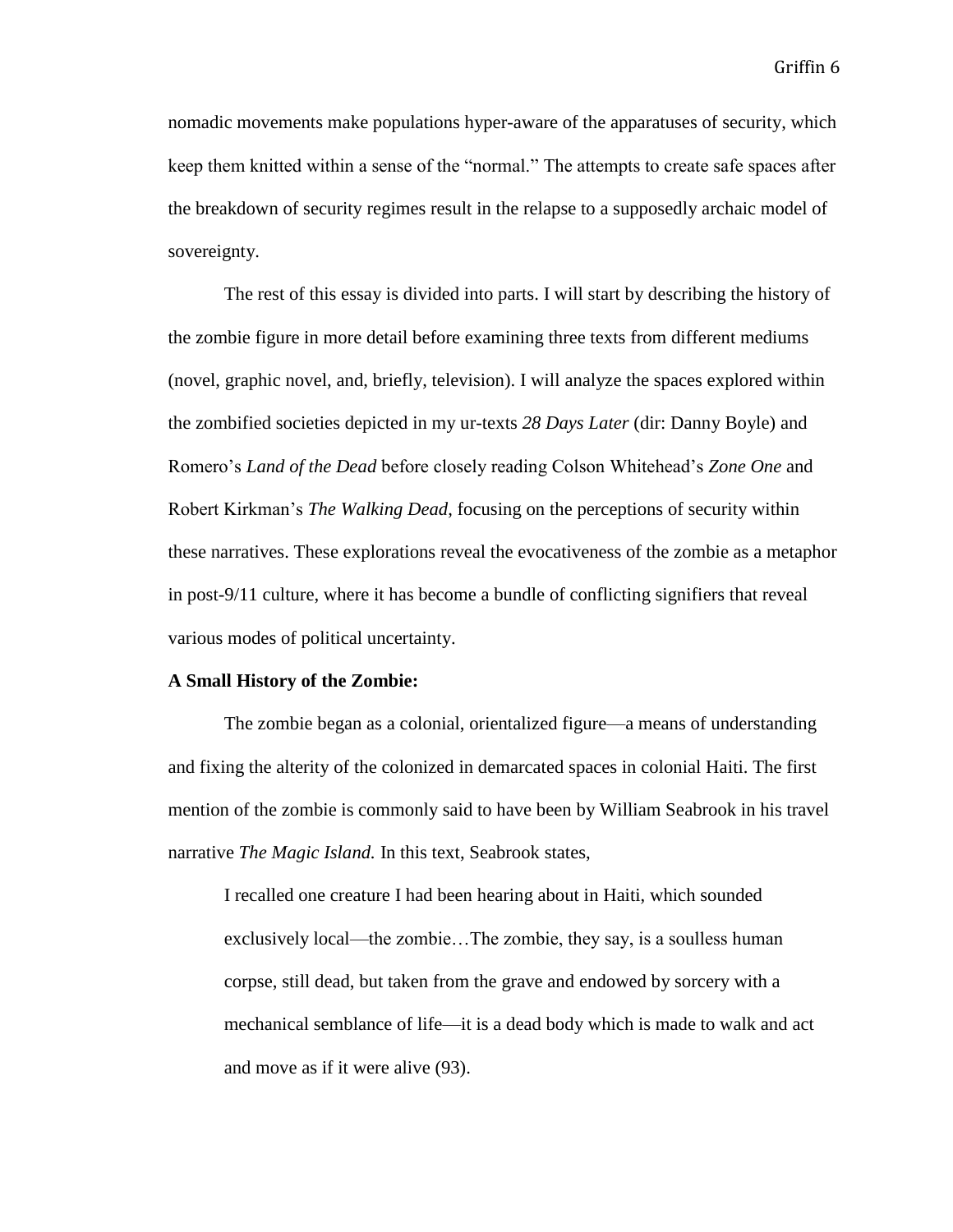nomadic movements make populations hyper-aware of the apparatuses of security, which keep them knitted within a sense of the "normal." The attempts to create safe spaces after the breakdown of security regimes result in the relapse to a supposedly archaic model of sovereignty.

The rest of this essay is divided into parts. I will start by describing the history of the zombie figure in more detail before examining three texts from different mediums (novel, graphic novel, and, briefly, television). I will analyze the spaces explored within the zombified societies depicted in my ur-texts *28 Days Later* (dir: Danny Boyle) and Romero's *Land of the Dead* before closely reading Colson Whitehead's *Zone One* and Robert Kirkman's *The Walking Dead*, focusing on the perceptions of security within these narratives. These explorations reveal the evocativeness of the zombie as a metaphor in post-9/11 culture, where it has become a bundle of conflicting signifiers that reveal various modes of political uncertainty.

#### **A Small History of the Zombie:**

The zombie began as a colonial, orientalized figure—a means of understanding and fixing the alterity of the colonized in demarcated spaces in colonial Haiti. The first mention of the zombie is commonly said to have been by William Seabrook in his travel narrative *The Magic Island.* In this text, Seabrook states,

I recalled one creature I had been hearing about in Haiti, which sounded exclusively local—the zombie…The zombie, they say, is a soulless human corpse, still dead, but taken from the grave and endowed by sorcery with a mechanical semblance of life—it is a dead body which is made to walk and act and move as if it were alive (93).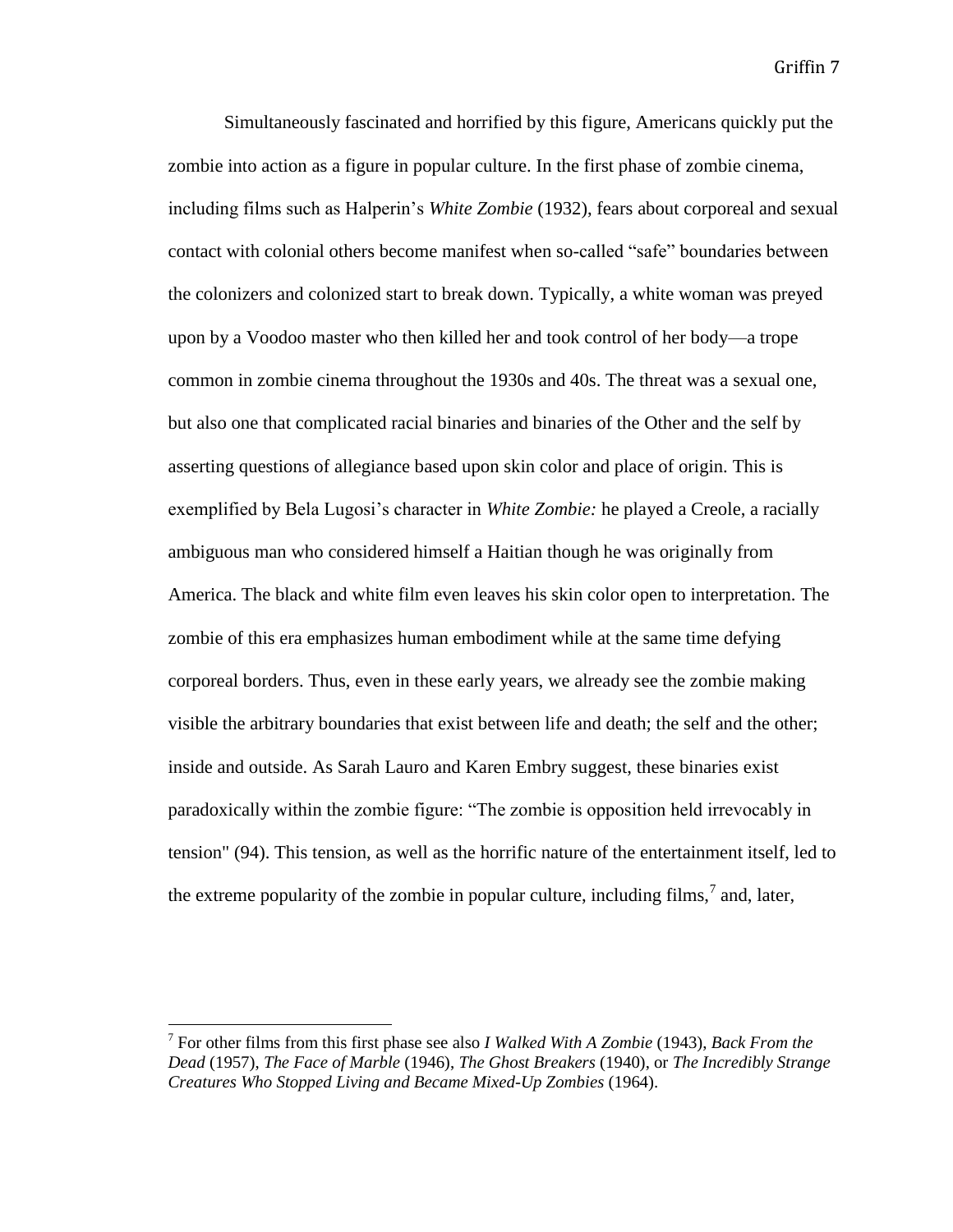Simultaneously fascinated and horrified by this figure, Americans quickly put the zombie into action as a figure in popular culture. In the first phase of zombie cinema, including films such as Halperin's *White Zombie* (1932), fears about corporeal and sexual contact with colonial others become manifest when so-called "safe" boundaries between the colonizers and colonized start to break down. Typically, a white woman was preyed upon by a Voodoo master who then killed her and took control of her body—a trope common in zombie cinema throughout the 1930s and 40s. The threat was a sexual one, but also one that complicated racial binaries and binaries of the Other and the self by asserting questions of allegiance based upon skin color and place of origin. This is exemplified by Bela Lugosi's character in *White Zombie:* he played a Creole, a racially ambiguous man who considered himself a Haitian though he was originally from America. The black and white film even leaves his skin color open to interpretation. The zombie of this era emphasizes human embodiment while at the same time defying corporeal borders. Thus, even in these early years, we already see the zombie making visible the arbitrary boundaries that exist between life and death; the self and the other; inside and outside. As Sarah Lauro and Karen Embry suggest, these binaries exist paradoxically within the zombie figure: "The zombie is opposition held irrevocably in tension" (94). This tension, as well as the horrific nature of the entertainment itself, led to the extreme popularity of the zombie in popular culture, including films,<sup>7</sup> and, later,

<sup>7</sup> For other films from this first phase see also *I Walked With A Zombie* (1943), *Back From the Dead* (1957), *The Face of Marble* (1946), *The Ghost Breakers* (1940), or *The Incredibly Strange Creatures Who Stopped Living and Became Mixed-Up Zombies* (1964).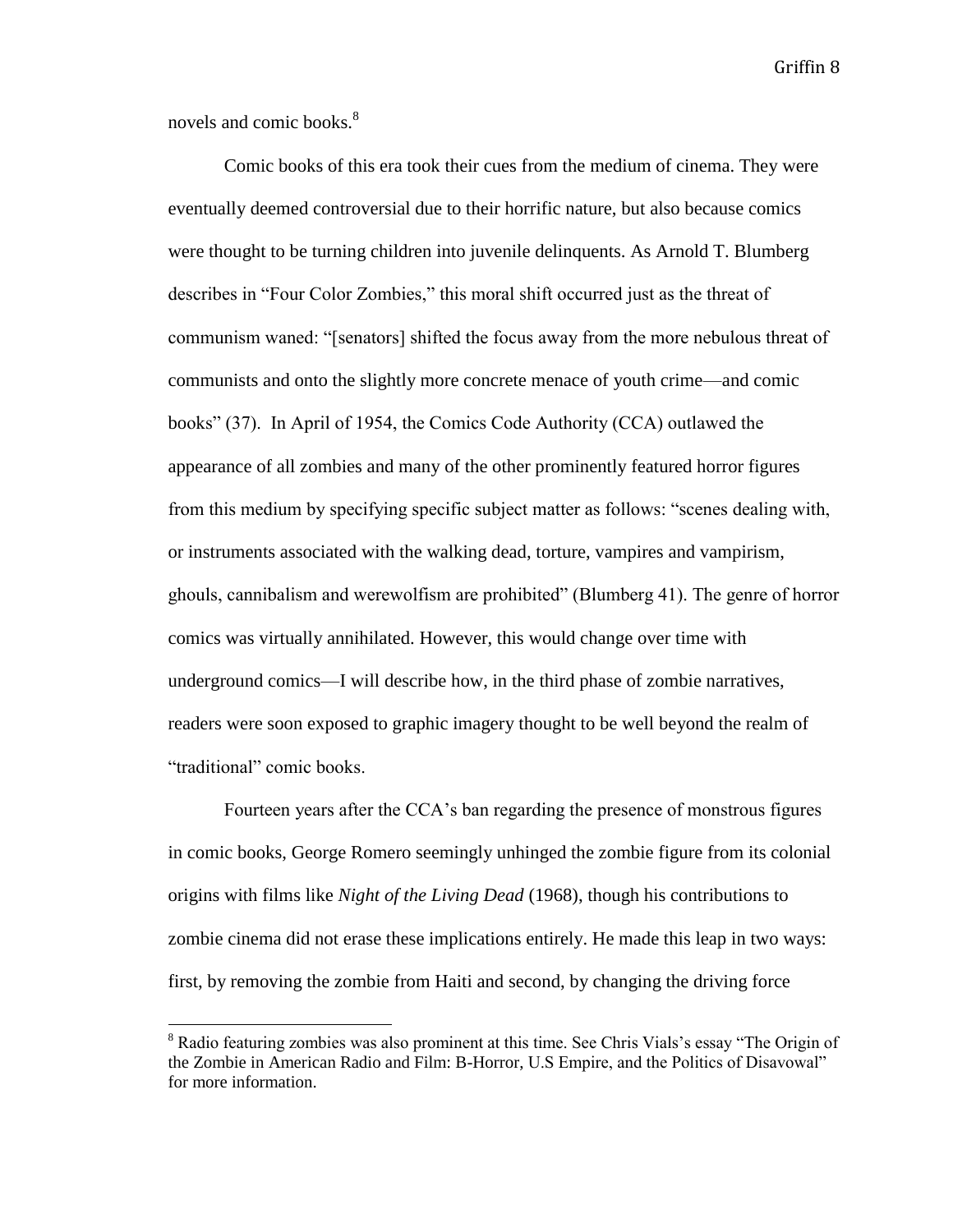novels and comic books.<sup>8</sup>

 $\overline{a}$ 

Comic books of this era took their cues from the medium of cinema. They were eventually deemed controversial due to their horrific nature, but also because comics were thought to be turning children into juvenile delinquents. As Arnold T. Blumberg describes in "Four Color Zombies," this moral shift occurred just as the threat of communism waned: "[senators] shifted the focus away from the more nebulous threat of communists and onto the slightly more concrete menace of youth crime—and comic books" (37). In April of 1954, the Comics Code Authority (CCA) outlawed the appearance of all zombies and many of the other prominently featured horror figures from this medium by specifying specific subject matter as follows: "scenes dealing with, or instruments associated with the walking dead, torture, vampires and vampirism, ghouls, cannibalism and werewolfism are prohibited" (Blumberg 41). The genre of horror comics was virtually annihilated. However, this would change over time with underground comics—I will describe how, in the third phase of zombie narratives, readers were soon exposed to graphic imagery thought to be well beyond the realm of "traditional" comic books.

Fourteen years after the CCA's ban regarding the presence of monstrous figures in comic books, George Romero seemingly unhinged the zombie figure from its colonial origins with films like *Night of the Living Dead* (1968), though his contributions to zombie cinema did not erase these implications entirely. He made this leap in two ways: first, by removing the zombie from Haiti and second, by changing the driving force

<sup>&</sup>lt;sup>8</sup> Radio featuring zombies was also prominent at this time. See Chris Vials's essay "The Origin of the Zombie in American Radio and Film: B-Horror, U.S Empire, and the Politics of Disavowal" for more information.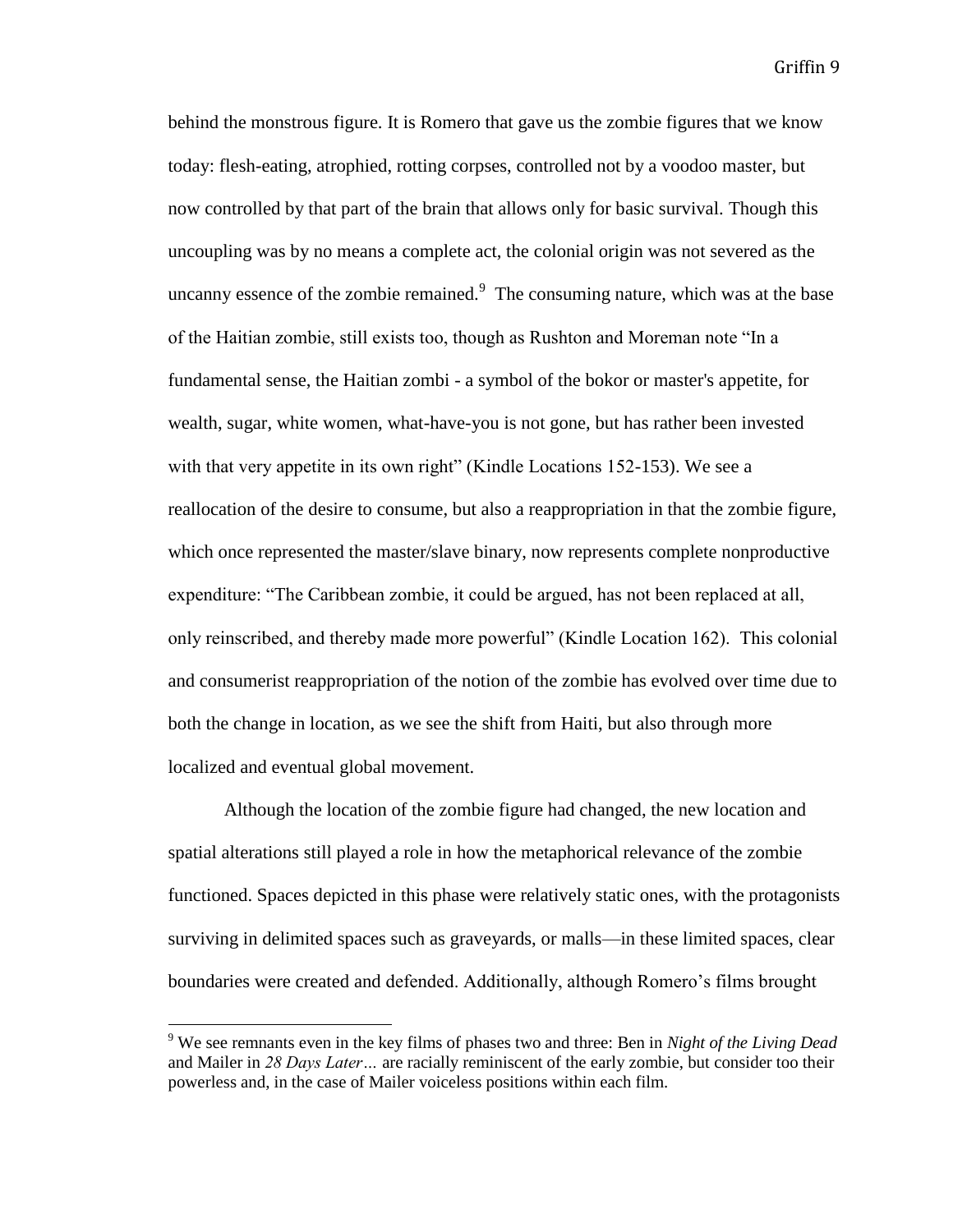behind the monstrous figure. It is Romero that gave us the zombie figures that we know today: flesh-eating, atrophied, rotting corpses, controlled not by a voodoo master, but now controlled by that part of the brain that allows only for basic survival. Though this uncoupling was by no means a complete act, the colonial origin was not severed as the uncanny essence of the zombie remained. $9$  The consuming nature, which was at the base of the Haitian zombie, still exists too, though as Rushton and Moreman note "In a fundamental sense, the Haitian zombi - a symbol of the bokor or master's appetite, for wealth, sugar, white women, what-have-you is not gone, but has rather been invested with that very appetite in its own right" (Kindle Locations 152-153). We see a reallocation of the desire to consume, but also a reappropriation in that the zombie figure, which once represented the master/slave binary, now represents complete nonproductive expenditure: "The Caribbean zombie, it could be argued, has not been replaced at all, only reinscribed, and thereby made more powerful" (Kindle Location 162). This colonial and consumerist reappropriation of the notion of the zombie has evolved over time due to both the change in location, as we see the shift from Haiti, but also through more localized and eventual global movement.

Although the location of the zombie figure had changed, the new location and spatial alterations still played a role in how the metaphorical relevance of the zombie functioned. Spaces depicted in this phase were relatively static ones, with the protagonists surviving in delimited spaces such as graveyards, or malls—in these limited spaces, clear boundaries were created and defended. Additionally, although Romero's films brought

<sup>9</sup> We see remnants even in the key films of phases two and three: Ben in *Night of the Living Dead* and Mailer in *28 Days Later…* are racially reminiscent of the early zombie, but consider too their powerless and, in the case of Mailer voiceless positions within each film.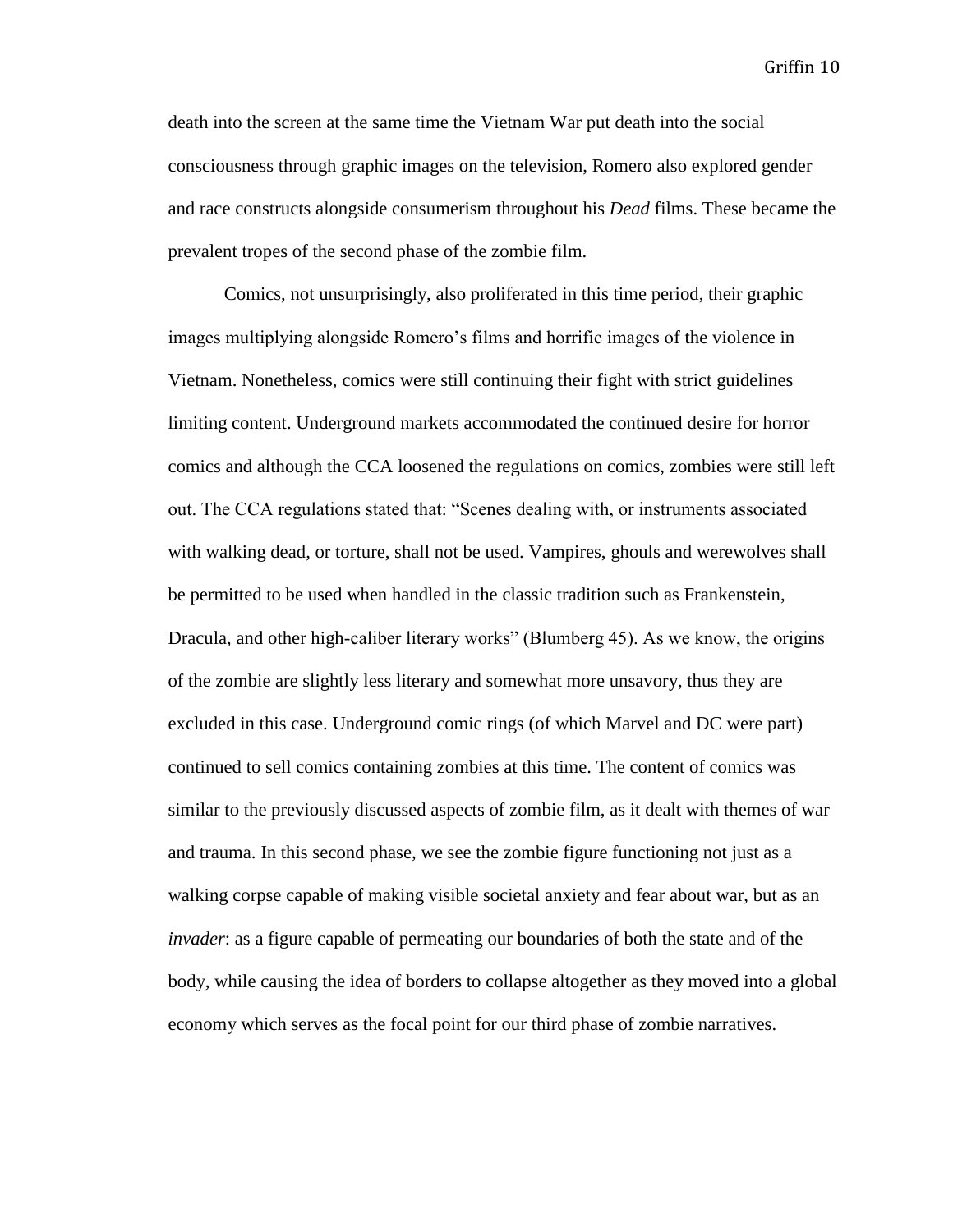death into the screen at the same time the Vietnam War put death into the social consciousness through graphic images on the television, Romero also explored gender and race constructs alongside consumerism throughout his *Dead* films. These became the prevalent tropes of the second phase of the zombie film.

Comics, not unsurprisingly, also proliferated in this time period, their graphic images multiplying alongside Romero's films and horrific images of the violence in Vietnam. Nonetheless, comics were still continuing their fight with strict guidelines limiting content. Underground markets accommodated the continued desire for horror comics and although the CCA loosened the regulations on comics, zombies were still left out. The CCA regulations stated that: "Scenes dealing with, or instruments associated with walking dead, or torture, shall not be used. Vampires, ghouls and werewolves shall be permitted to be used when handled in the classic tradition such as Frankenstein, Dracula, and other high-caliber literary works" (Blumberg 45). As we know, the origins of the zombie are slightly less literary and somewhat more unsavory, thus they are excluded in this case. Underground comic rings (of which Marvel and DC were part) continued to sell comics containing zombies at this time. The content of comics was similar to the previously discussed aspects of zombie film, as it dealt with themes of war and trauma. In this second phase, we see the zombie figure functioning not just as a walking corpse capable of making visible societal anxiety and fear about war, but as an *invader*: as a figure capable of permeating our boundaries of both the state and of the body, while causing the idea of borders to collapse altogether as they moved into a global economy which serves as the focal point for our third phase of zombie narratives.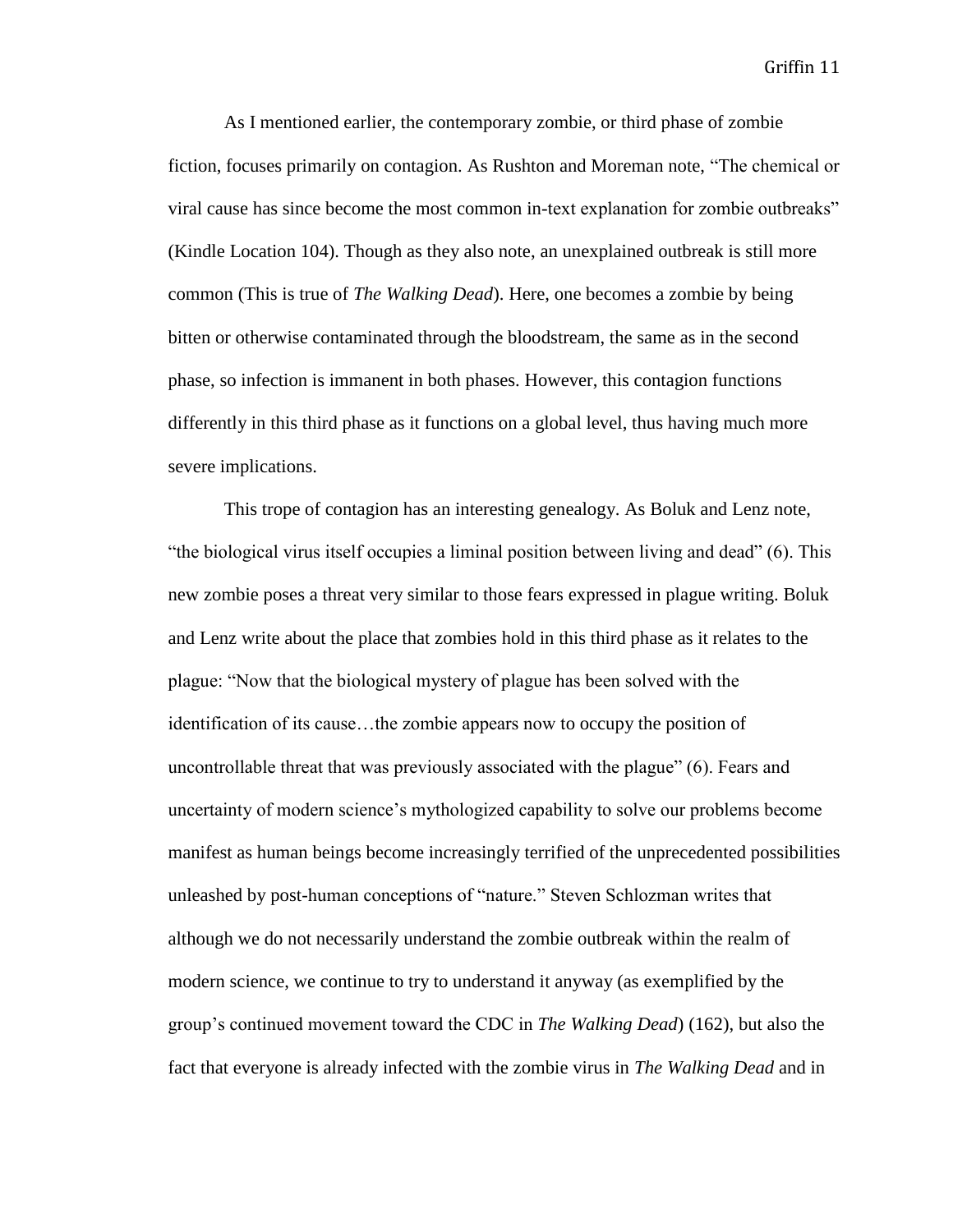As I mentioned earlier, the contemporary zombie, or third phase of zombie fiction, focuses primarily on contagion. As Rushton and Moreman note, "The chemical or viral cause has since become the most common in-text explanation for zombie outbreaks" (Kindle Location 104). Though as they also note, an unexplained outbreak is still more common (This is true of *The Walking Dead*). Here, one becomes a zombie by being bitten or otherwise contaminated through the bloodstream, the same as in the second phase, so infection is immanent in both phases. However, this contagion functions differently in this third phase as it functions on a global level, thus having much more severe implications.

This trope of contagion has an interesting genealogy. As Boluk and Lenz note, "the biological virus itself occupies a liminal position between living and dead" (6). This new zombie poses a threat very similar to those fears expressed in plague writing. Boluk and Lenz write about the place that zombies hold in this third phase as it relates to the plague: "Now that the biological mystery of plague has been solved with the identification of its cause…the zombie appears now to occupy the position of uncontrollable threat that was previously associated with the plague" (6). Fears and uncertainty of modern science's mythologized capability to solve our problems become manifest as human beings become increasingly terrified of the unprecedented possibilities unleashed by post-human conceptions of "nature." Steven Schlozman writes that although we do not necessarily understand the zombie outbreak within the realm of modern science, we continue to try to understand it anyway (as exemplified by the group's continued movement toward the CDC in *The Walking Dead*) (162), but also the fact that everyone is already infected with the zombie virus in *The Walking Dead* and in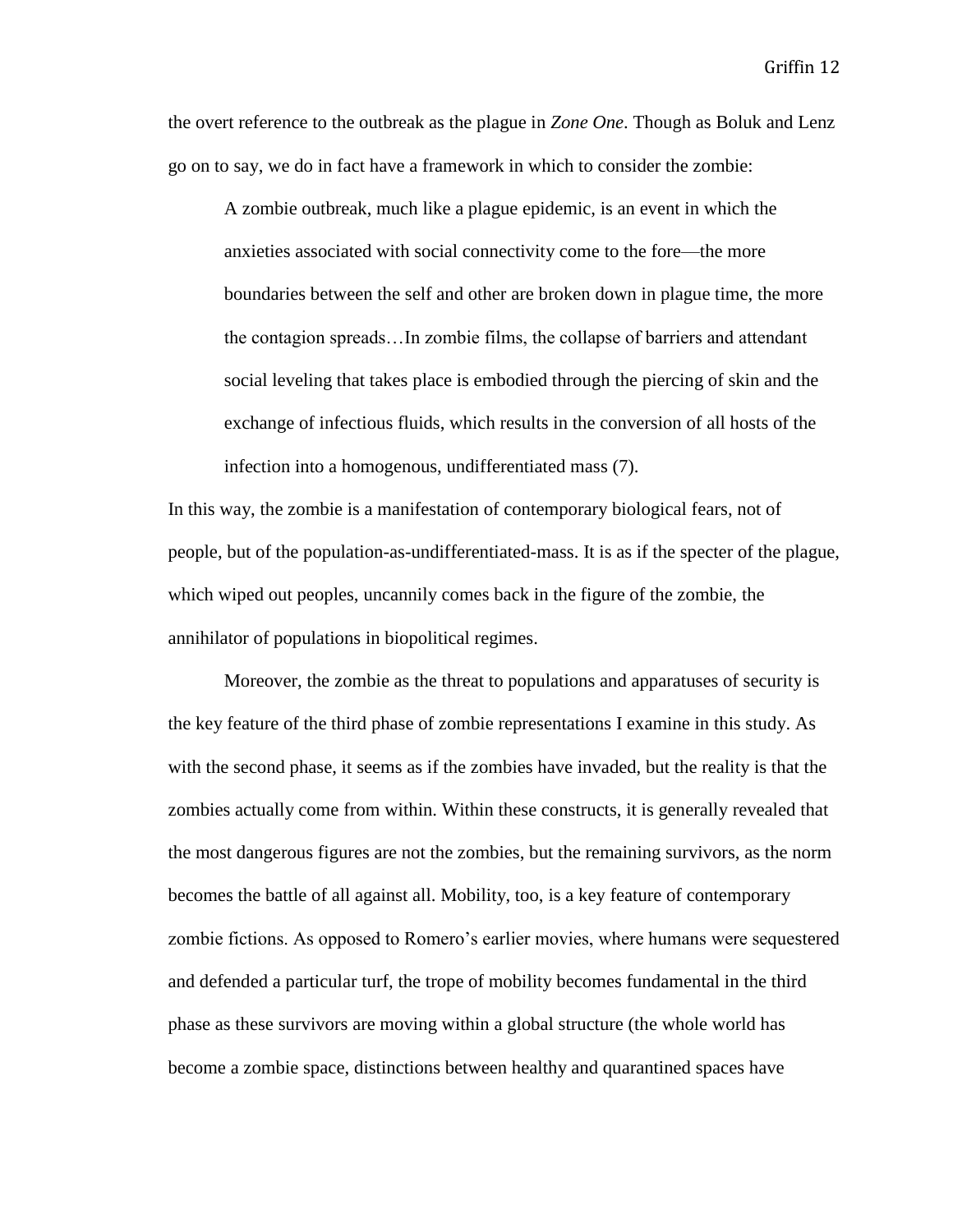the overt reference to the outbreak as the plague in *Zone One*. Though as Boluk and Lenz go on to say, we do in fact have a framework in which to consider the zombie:

A zombie outbreak, much like a plague epidemic, is an event in which the anxieties associated with social connectivity come to the fore—the more boundaries between the self and other are broken down in plague time, the more the contagion spreads…In zombie films, the collapse of barriers and attendant social leveling that takes place is embodied through the piercing of skin and the exchange of infectious fluids, which results in the conversion of all hosts of the infection into a homogenous, undifferentiated mass (7).

In this way, the zombie is a manifestation of contemporary biological fears, not of people, but of the population-as-undifferentiated-mass. It is as if the specter of the plague, which wiped out peoples, uncannily comes back in the figure of the zombie, the annihilator of populations in biopolitical regimes.

Moreover, the zombie as the threat to populations and apparatuses of security is the key feature of the third phase of zombie representations I examine in this study. As with the second phase, it seems as if the zombies have invaded, but the reality is that the zombies actually come from within. Within these constructs, it is generally revealed that the most dangerous figures are not the zombies, but the remaining survivors, as the norm becomes the battle of all against all. Mobility, too, is a key feature of contemporary zombie fictions. As opposed to Romero's earlier movies, where humans were sequestered and defended a particular turf, the trope of mobility becomes fundamental in the third phase as these survivors are moving within a global structure (the whole world has become a zombie space, distinctions between healthy and quarantined spaces have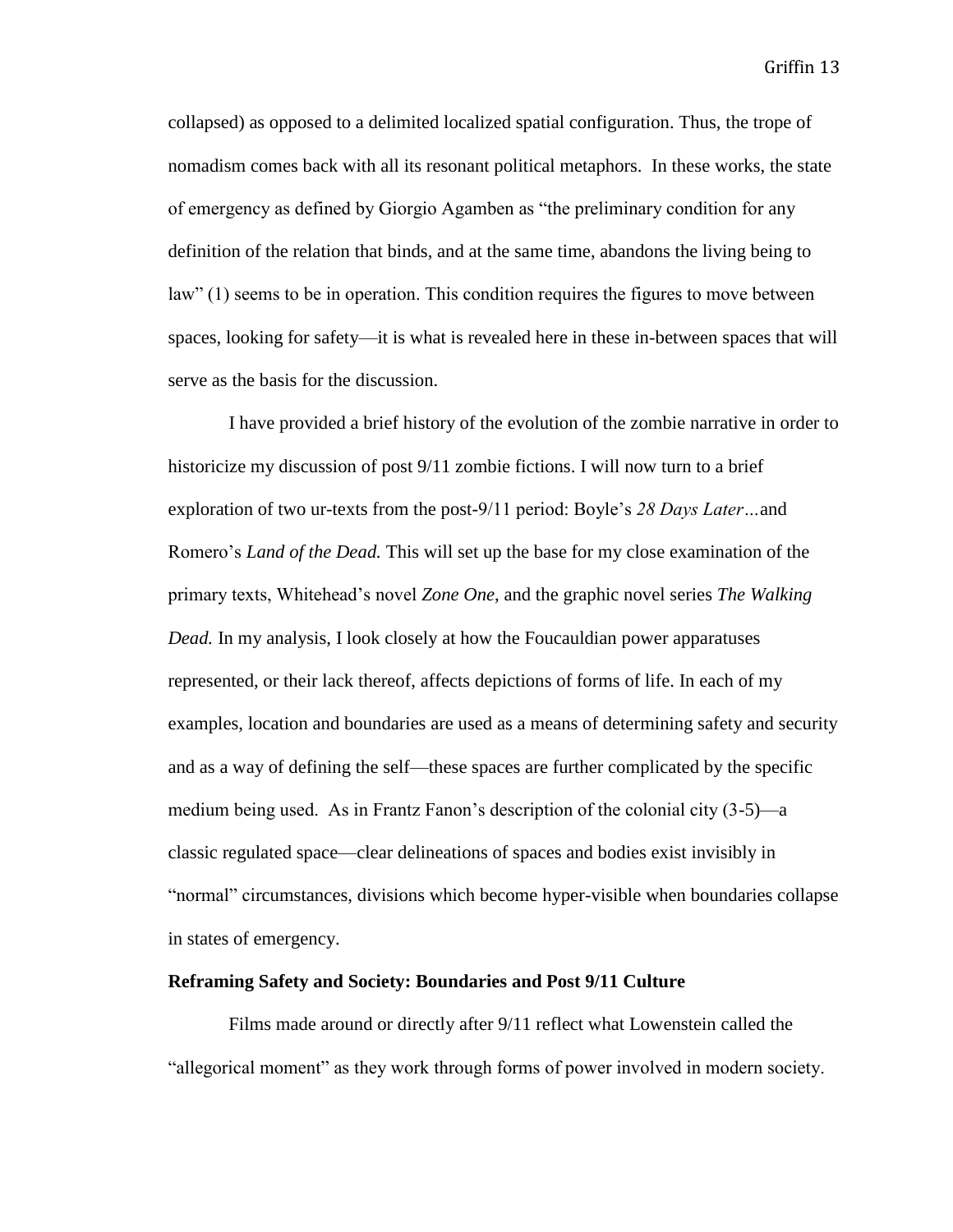collapsed) as opposed to a delimited localized spatial configuration. Thus, the trope of nomadism comes back with all its resonant political metaphors. In these works, the state of emergency as defined by Giorgio Agamben as "the preliminary condition for any definition of the relation that binds, and at the same time, abandons the living being to law" (1) seems to be in operation. This condition requires the figures to move between spaces, looking for safety—it is what is revealed here in these in-between spaces that will serve as the basis for the discussion.

I have provided a brief history of the evolution of the zombie narrative in order to historicize my discussion of post 9/11 zombie fictions. I will now turn to a brief exploration of two ur-texts from the post-9/11 period: Boyle's *28 Days Later…*and Romero's *Land of the Dead.* This will set up the base for my close examination of the primary texts, Whitehead's novel *Zone One*, and the graphic novel series *The Walking Dead.* In my analysis, I look closely at how the Foucauldian power apparatuses represented, or their lack thereof, affects depictions of forms of life. In each of my examples, location and boundaries are used as a means of determining safety and security and as a way of defining the self—these spaces are further complicated by the specific medium being used. As in Frantz Fanon's description of the colonial city (3-5)—a classic regulated space—clear delineations of spaces and bodies exist invisibly in "normal" circumstances, divisions which become hyper-visible when boundaries collapse in states of emergency.

#### **Reframing Safety and Society: Boundaries and Post 9/11 Culture**

Films made around or directly after 9/11 reflect what Lowenstein called the "allegorical moment" as they work through forms of power involved in modern society.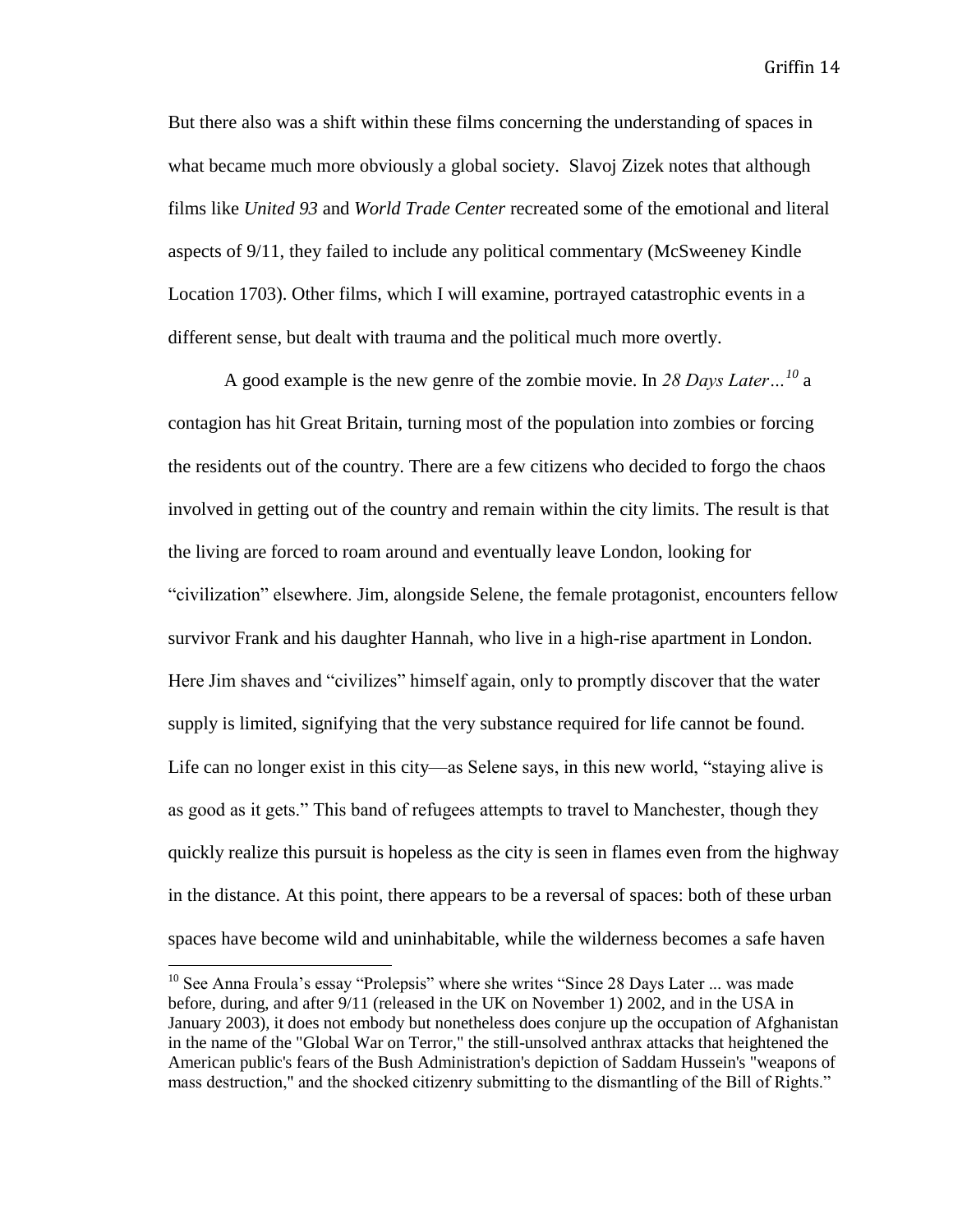But there also was a shift within these films concerning the understanding of spaces in what became much more obviously a global society. Slavoj Zizek notes that although films like *United 93* and *World Trade Center* recreated some of the emotional and literal aspects of 9/11, they failed to include any political commentary (McSweeney Kindle Location 1703). Other films, which I will examine, portrayed catastrophic events in a different sense, but dealt with trauma and the political much more overtly.

A good example is the new genre of the zombie movie. In *28 Days Later…<sup>10</sup>* a contagion has hit Great Britain, turning most of the population into zombies or forcing the residents out of the country. There are a few citizens who decided to forgo the chaos involved in getting out of the country and remain within the city limits. The result is that the living are forced to roam around and eventually leave London, looking for "civilization" elsewhere. Jim, alongside Selene, the female protagonist, encounters fellow survivor Frank and his daughter Hannah, who live in a high-rise apartment in London. Here Jim shaves and "civilizes" himself again, only to promptly discover that the water supply is limited, signifying that the very substance required for life cannot be found. Life can no longer exist in this city—as Selene says, in this new world, "staying alive is as good as it gets." This band of refugees attempts to travel to Manchester, though they quickly realize this pursuit is hopeless as the city is seen in flames even from the highway in the distance. At this point, there appears to be a reversal of spaces: both of these urban spaces have become wild and uninhabitable, while the wilderness becomes a safe haven

 $10$  See Anna Froula's essay "Prolepsis" where she writes "Since 28 Days Later ... was made before, during, and after 9/11 (released in the UK on November 1) 2002, and in the USA in January 2003), it does not embody but nonetheless does conjure up the occupation of Afghanistan in the name of the "Global War on Terror," the still-unsolved anthrax attacks that heightened the American public's fears of the Bush Administration's depiction of Saddam Hussein's "weapons of mass destruction," and the shocked citizenry submitting to the dismantling of the Bill of Rights."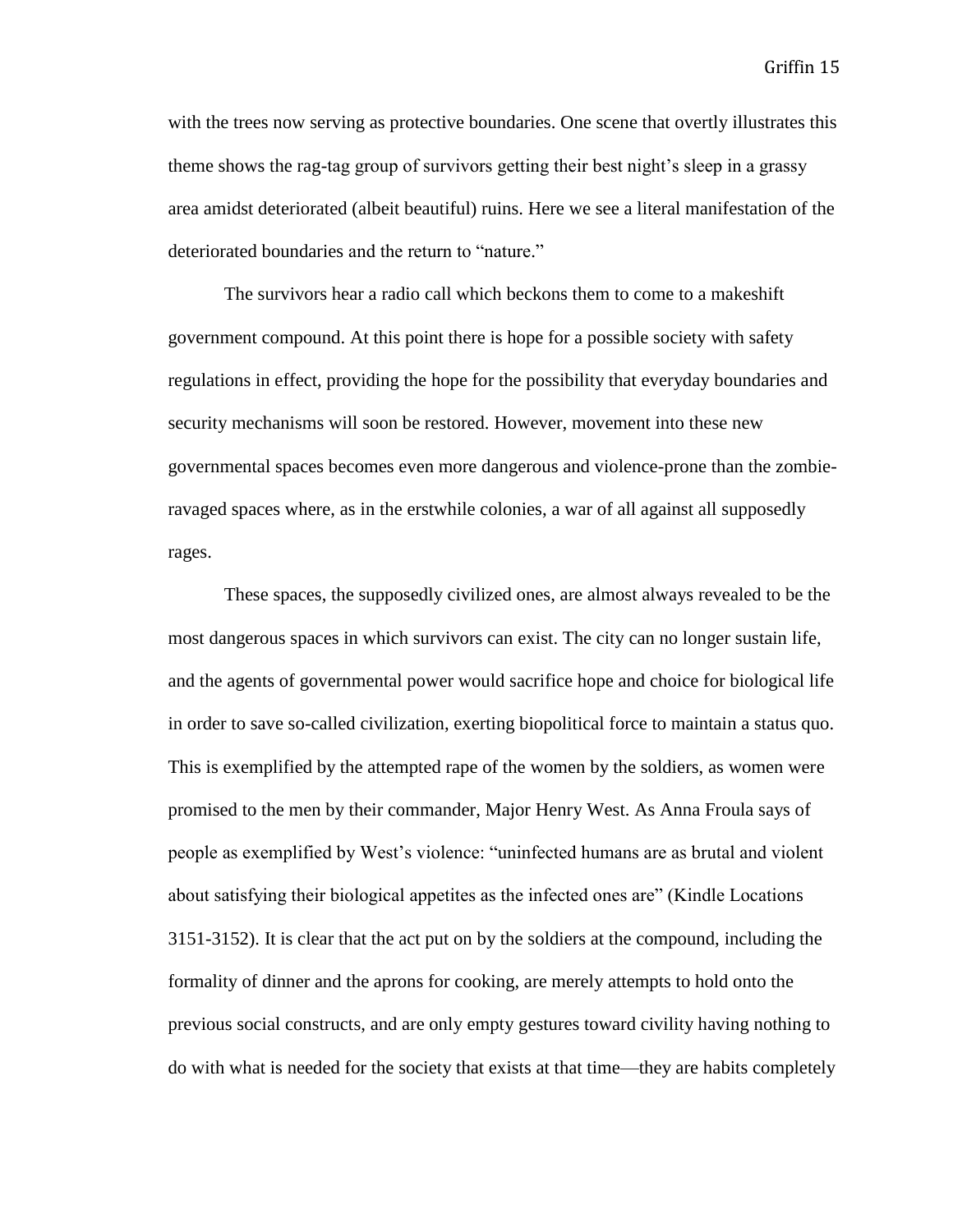with the trees now serving as protective boundaries. One scene that overtly illustrates this theme shows the rag-tag group of survivors getting their best night's sleep in a grassy area amidst deteriorated (albeit beautiful) ruins. Here we see a literal manifestation of the deteriorated boundaries and the return to "nature."

The survivors hear a radio call which beckons them to come to a makeshift government compound. At this point there is hope for a possible society with safety regulations in effect, providing the hope for the possibility that everyday boundaries and security mechanisms will soon be restored. However, movement into these new governmental spaces becomes even more dangerous and violence-prone than the zombieravaged spaces where, as in the erstwhile colonies, a war of all against all supposedly rages.

These spaces, the supposedly civilized ones, are almost always revealed to be the most dangerous spaces in which survivors can exist. The city can no longer sustain life, and the agents of governmental power would sacrifice hope and choice for biological life in order to save so-called civilization, exerting biopolitical force to maintain a status quo. This is exemplified by the attempted rape of the women by the soldiers, as women were promised to the men by their commander, Major Henry West. As Anna Froula says of people as exemplified by West's violence: "uninfected humans are as brutal and violent about satisfying their biological appetites as the infected ones are" (Kindle Locations 3151-3152). It is clear that the act put on by the soldiers at the compound, including the formality of dinner and the aprons for cooking, are merely attempts to hold onto the previous social constructs, and are only empty gestures toward civility having nothing to do with what is needed for the society that exists at that time—they are habits completely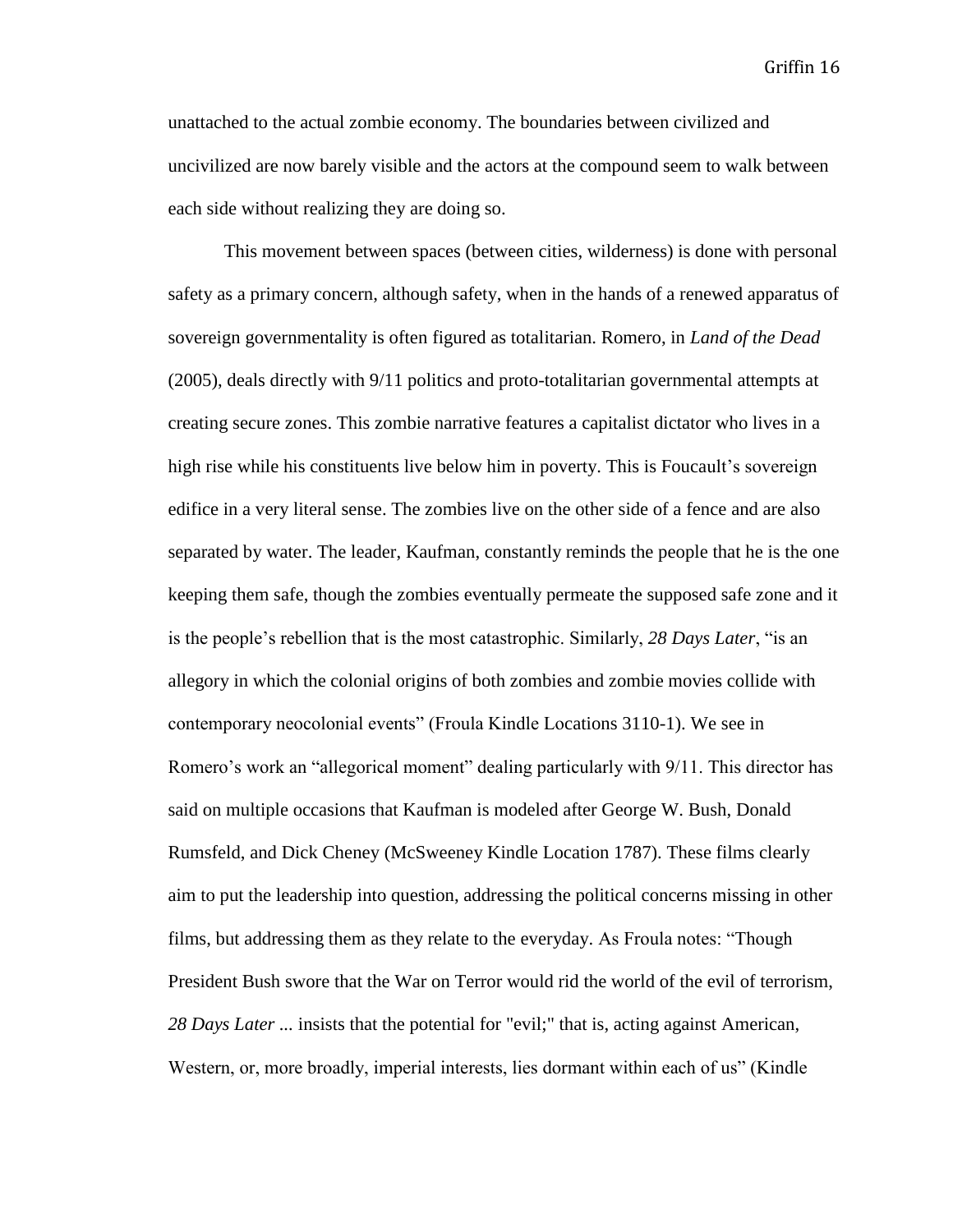unattached to the actual zombie economy. The boundaries between civilized and uncivilized are now barely visible and the actors at the compound seem to walk between each side without realizing they are doing so.

This movement between spaces (between cities, wilderness) is done with personal safety as a primary concern, although safety, when in the hands of a renewed apparatus of sovereign governmentality is often figured as totalitarian. Romero, in *Land of the Dead* (2005), deals directly with 9/11 politics and proto-totalitarian governmental attempts at creating secure zones. This zombie narrative features a capitalist dictator who lives in a high rise while his constituents live below him in poverty. This is Foucault's sovereign edifice in a very literal sense. The zombies live on the other side of a fence and are also separated by water. The leader, Kaufman, constantly reminds the people that he is the one keeping them safe, though the zombies eventually permeate the supposed safe zone and it is the people's rebellion that is the most catastrophic. Similarly, *28 Days Later*, "is an allegory in which the colonial origins of both zombies and zombie movies collide with contemporary neocolonial events" (Froula Kindle Locations 3110-1). We see in Romero's work an "allegorical moment" dealing particularly with 9/11. This director has said on multiple occasions that Kaufman is modeled after George W. Bush, Donald Rumsfeld, and Dick Cheney (McSweeney Kindle Location 1787). These films clearly aim to put the leadership into question, addressing the political concerns missing in other films, but addressing them as they relate to the everyday. As Froula notes: "Though President Bush swore that the War on Terror would rid the world of the evil of terrorism, *28 Days Later ...* insists that the potential for "evil;" that is, acting against American, Western, or, more broadly, imperial interests, lies dormant within each of us" (Kindle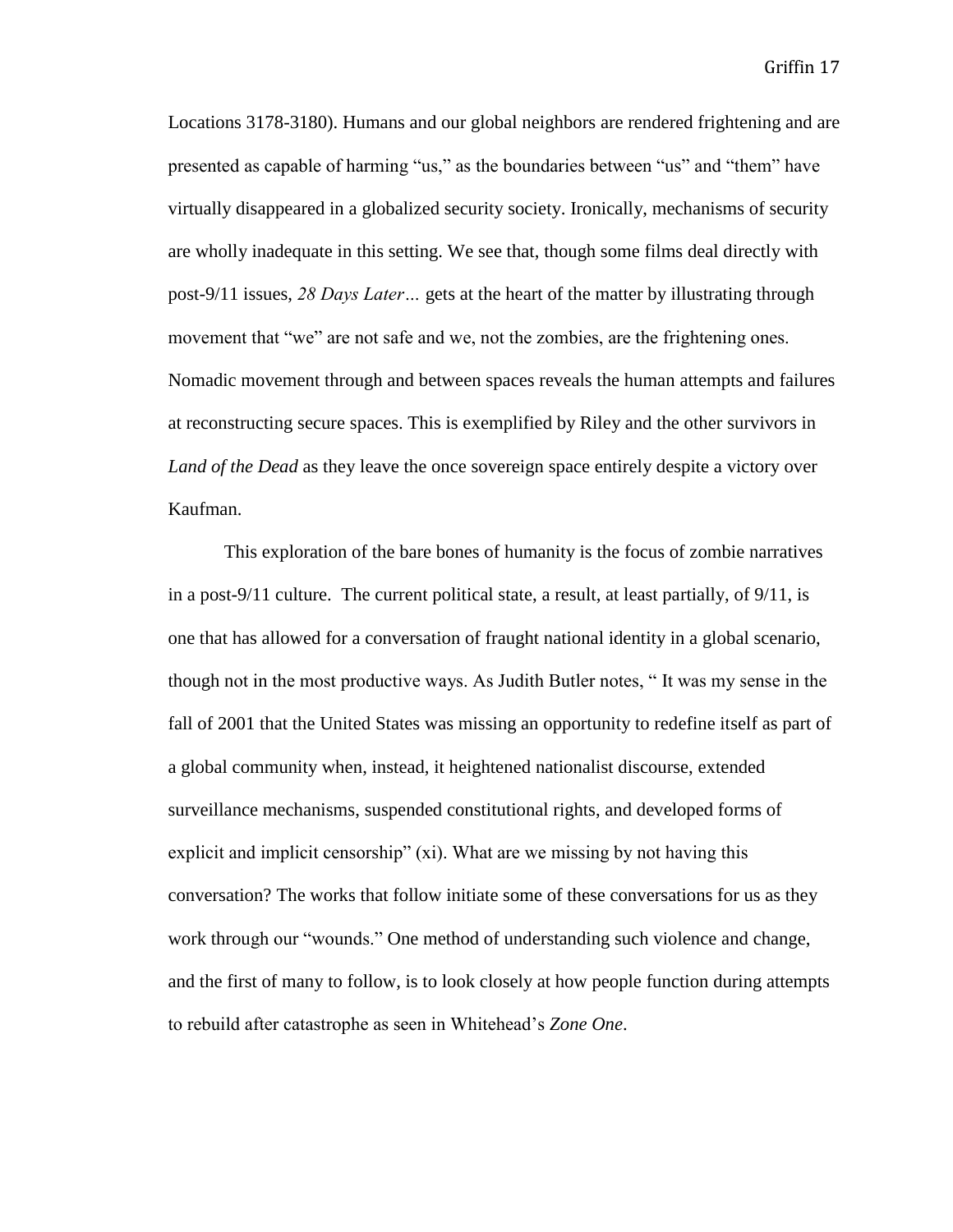Locations 3178-3180). Humans and our global neighbors are rendered frightening and are presented as capable of harming "us," as the boundaries between "us" and "them" have virtually disappeared in a globalized security society. Ironically, mechanisms of security are wholly inadequate in this setting. We see that, though some films deal directly with post-9/11 issues, *28 Days Later…* gets at the heart of the matter by illustrating through movement that "we" are not safe and we, not the zombies, are the frightening ones. Nomadic movement through and between spaces reveals the human attempts and failures at reconstructing secure spaces. This is exemplified by Riley and the other survivors in *Land of the Dead* as they leave the once sovereign space entirely despite a victory over Kaufman.

This exploration of the bare bones of humanity is the focus of zombie narratives in a post-9/11 culture. The current political state, a result, at least partially, of  $9/11$ , is one that has allowed for a conversation of fraught national identity in a global scenario, though not in the most productive ways. As Judith Butler notes, " It was my sense in the fall of 2001 that the United States was missing an opportunity to redefine itself as part of a global community when, instead, it heightened nationalist discourse, extended surveillance mechanisms, suspended constitutional rights, and developed forms of explicit and implicit censorship" (xi). What are we missing by not having this conversation? The works that follow initiate some of these conversations for us as they work through our "wounds." One method of understanding such violence and change, and the first of many to follow, is to look closely at how people function during attempts to rebuild after catastrophe as seen in Whitehead's *Zone One*.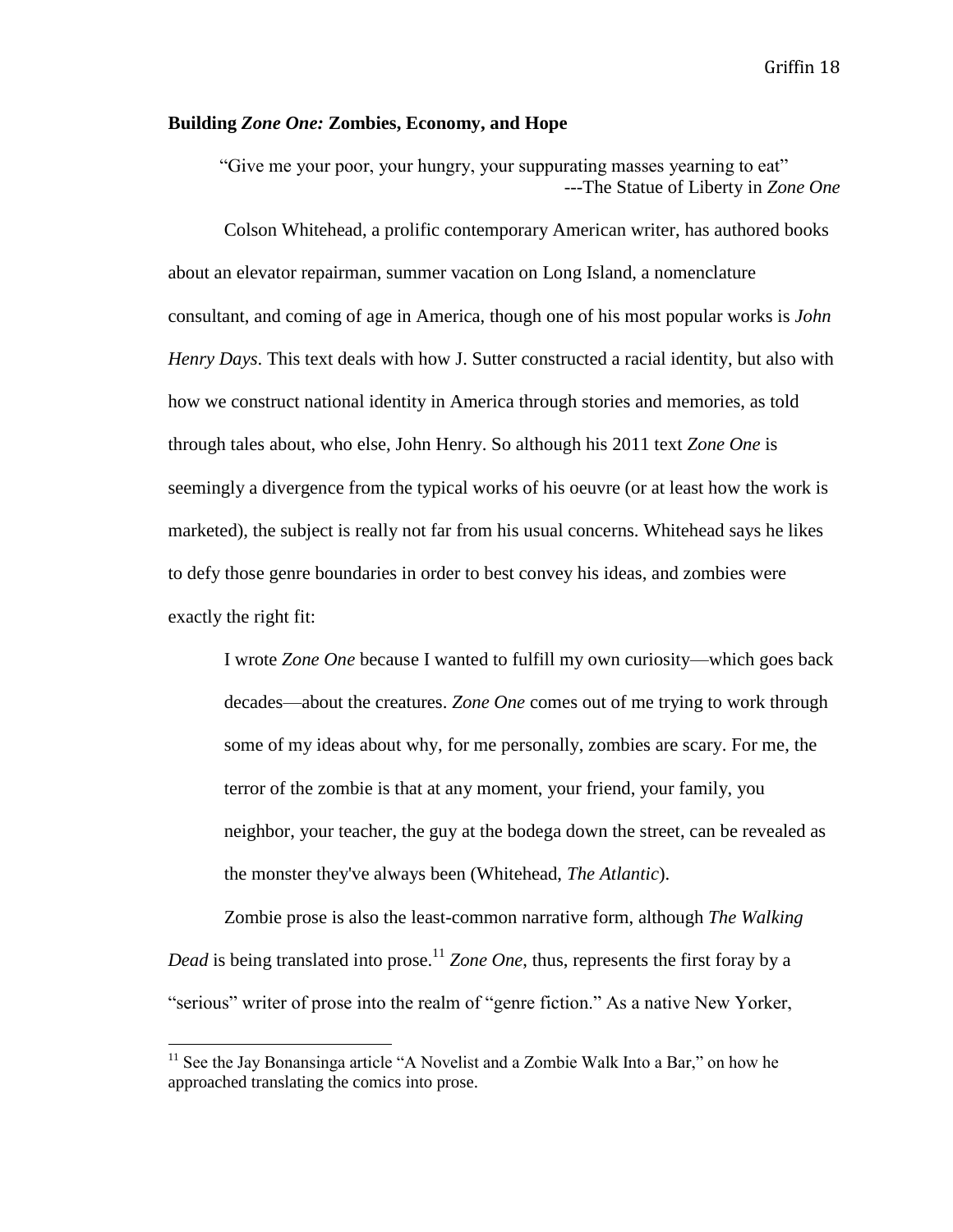#### **Building** *Zone One:* **Zombies, Economy, and Hope**

"Give me your poor, your hungry, your suppurating masses yearning to eat" ---The Statue of Liberty in *Zone One*

Colson Whitehead, a prolific contemporary American writer, has authored books about an elevator repairman, summer vacation on Long Island, a nomenclature consultant, and coming of age in America, though one of his most popular works is *John Henry Days*. This text deals with how J. Sutter constructed a racial identity, but also with how we construct national identity in America through stories and memories, as told through tales about, who else, John Henry. So although his 2011 text *Zone One* is seemingly a divergence from the typical works of his oeuvre (or at least how the work is marketed), the subject is really not far from his usual concerns. Whitehead says he likes to defy those genre boundaries in order to best convey his ideas, and zombies were exactly the right fit:

I wrote *Zone One* because I wanted to fulfill my own curiosity—which goes back decades—about the creatures. *Zone One* comes out of me trying to work through some of my ideas about why, for me personally, zombies are scary. For me, the terror of the zombie is that at any moment, your friend, your family, you neighbor, your teacher, the guy at the bodega down the street, can be revealed as the monster they've always been (Whitehead, *The Atlantic*).

Zombie prose is also the least-common narrative form, although *The Walking Dead* is being translated into prose.<sup>11</sup> *Zone One*, thus, represents the first foray by a "serious" writer of prose into the realm of "genre fiction." As a native New Yorker,

l

<sup>&</sup>lt;sup>11</sup> See the Jay Bonansinga article "A Novelist and a Zombie Walk Into a Bar," on how he approached translating the comics into prose.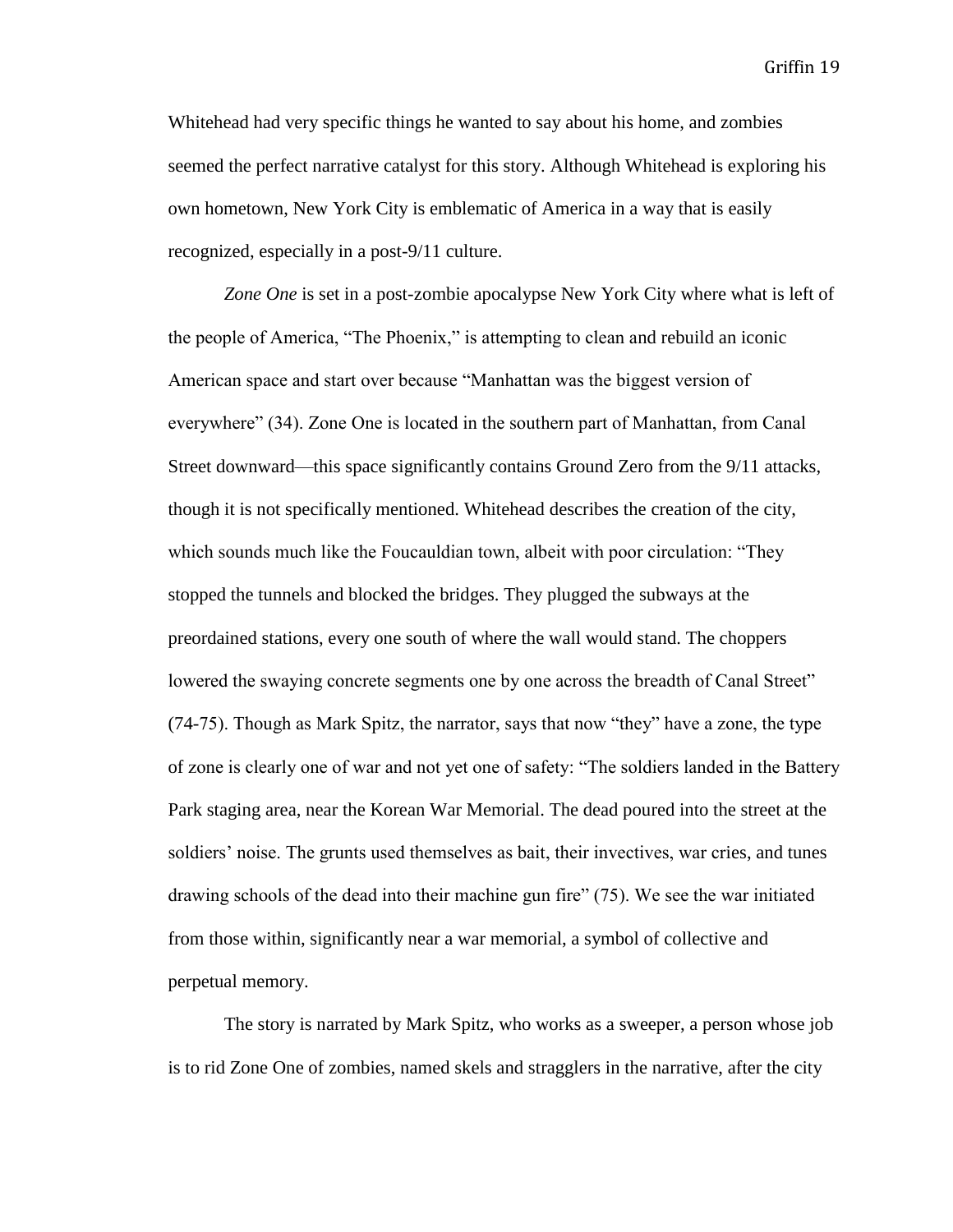Whitehead had very specific things he wanted to say about his home, and zombies seemed the perfect narrative catalyst for this story. Although Whitehead is exploring his own hometown, New York City is emblematic of America in a way that is easily recognized, especially in a post-9/11 culture.

*Zone One* is set in a post-zombie apocalypse New York City where what is left of the people of America, "The Phoenix," is attempting to clean and rebuild an iconic American space and start over because "Manhattan was the biggest version of everywhere" (34). Zone One is located in the southern part of Manhattan, from Canal Street downward—this space significantly contains Ground Zero from the 9/11 attacks, though it is not specifically mentioned. Whitehead describes the creation of the city, which sounds much like the Foucauldian town, albeit with poor circulation: "They stopped the tunnels and blocked the bridges. They plugged the subways at the preordained stations, every one south of where the wall would stand. The choppers lowered the swaying concrete segments one by one across the breadth of Canal Street" (74-75). Though as Mark Spitz, the narrator, says that now "they" have a zone, the type of zone is clearly one of war and not yet one of safety: "The soldiers landed in the Battery Park staging area, near the Korean War Memorial. The dead poured into the street at the soldiers' noise. The grunts used themselves as bait, their invectives, war cries, and tunes drawing schools of the dead into their machine gun fire" (75). We see the war initiated from those within, significantly near a war memorial, a symbol of collective and perpetual memory.

The story is narrated by Mark Spitz, who works as a sweeper, a person whose job is to rid Zone One of zombies, named skels and stragglers in the narrative, after the city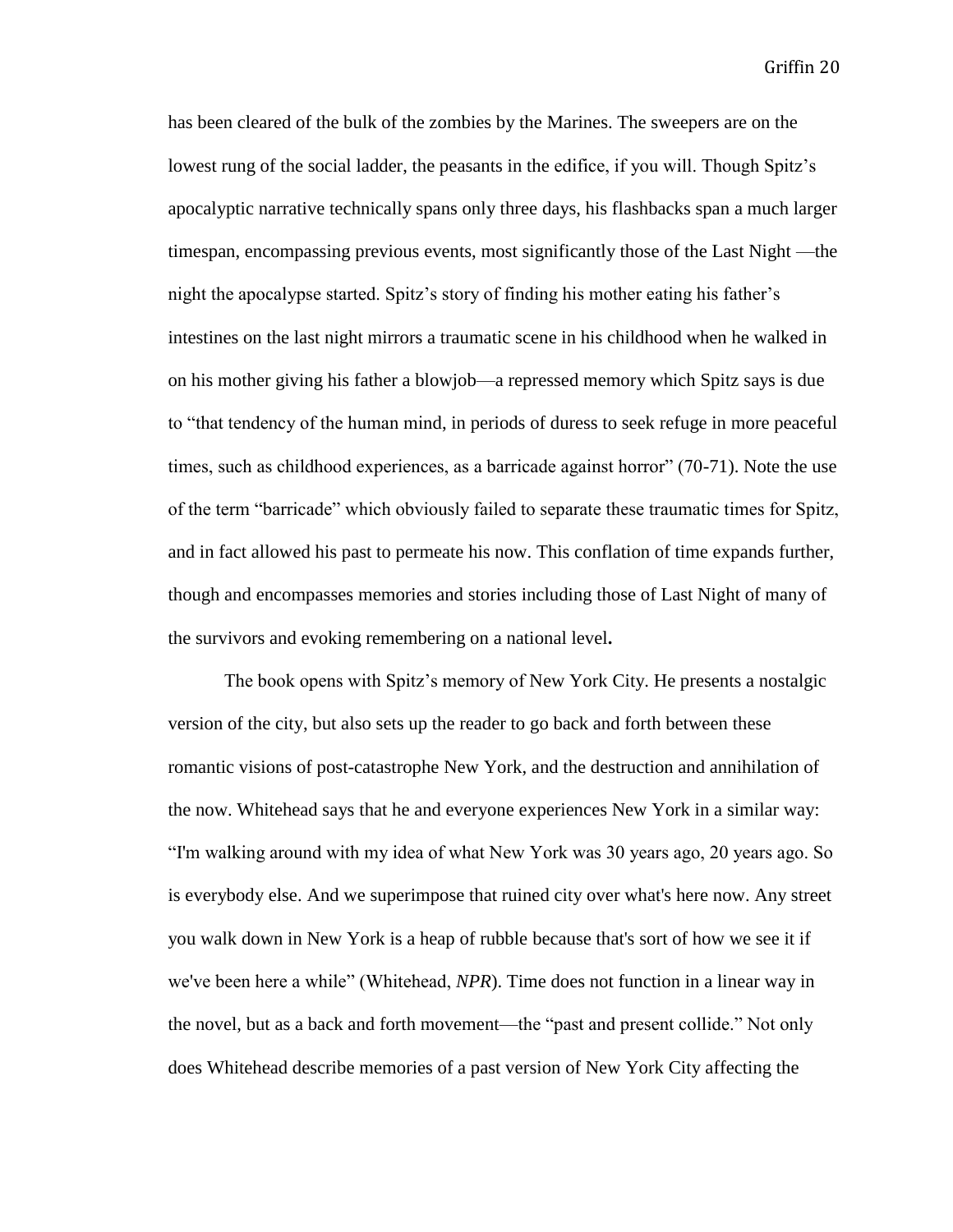has been cleared of the bulk of the zombies by the Marines. The sweepers are on the lowest rung of the social ladder, the peasants in the edifice, if you will. Though Spitz's apocalyptic narrative technically spans only three days, his flashbacks span a much larger timespan, encompassing previous events, most significantly those of the Last Night —the night the apocalypse started. Spitz's story of finding his mother eating his father's intestines on the last night mirrors a traumatic scene in his childhood when he walked in on his mother giving his father a blowjob—a repressed memory which Spitz says is due to "that tendency of the human mind, in periods of duress to seek refuge in more peaceful times, such as childhood experiences, as a barricade against horror" (70-71). Note the use of the term "barricade" which obviously failed to separate these traumatic times for Spitz, and in fact allowed his past to permeate his now. This conflation of time expands further, though and encompasses memories and stories including those of Last Night of many of the survivors and evoking remembering on a national level**.**

The book opens with Spitz's memory of New York City. He presents a nostalgic version of the city, but also sets up the reader to go back and forth between these romantic visions of post-catastrophe New York, and the destruction and annihilation of the now. Whitehead says that he and everyone experiences New York in a similar way: "I'm walking around with my idea of what New York was 30 years ago, 20 years ago. So is everybody else. And we superimpose that ruined city over what's here now. Any street you walk down in New York is a heap of rubble because that's sort of how we see it if we've been here a while" (Whitehead, *NPR*). Time does not function in a linear way in the novel, but as a back and forth movement—the "past and present collide." Not only does Whitehead describe memories of a past version of New York City affecting the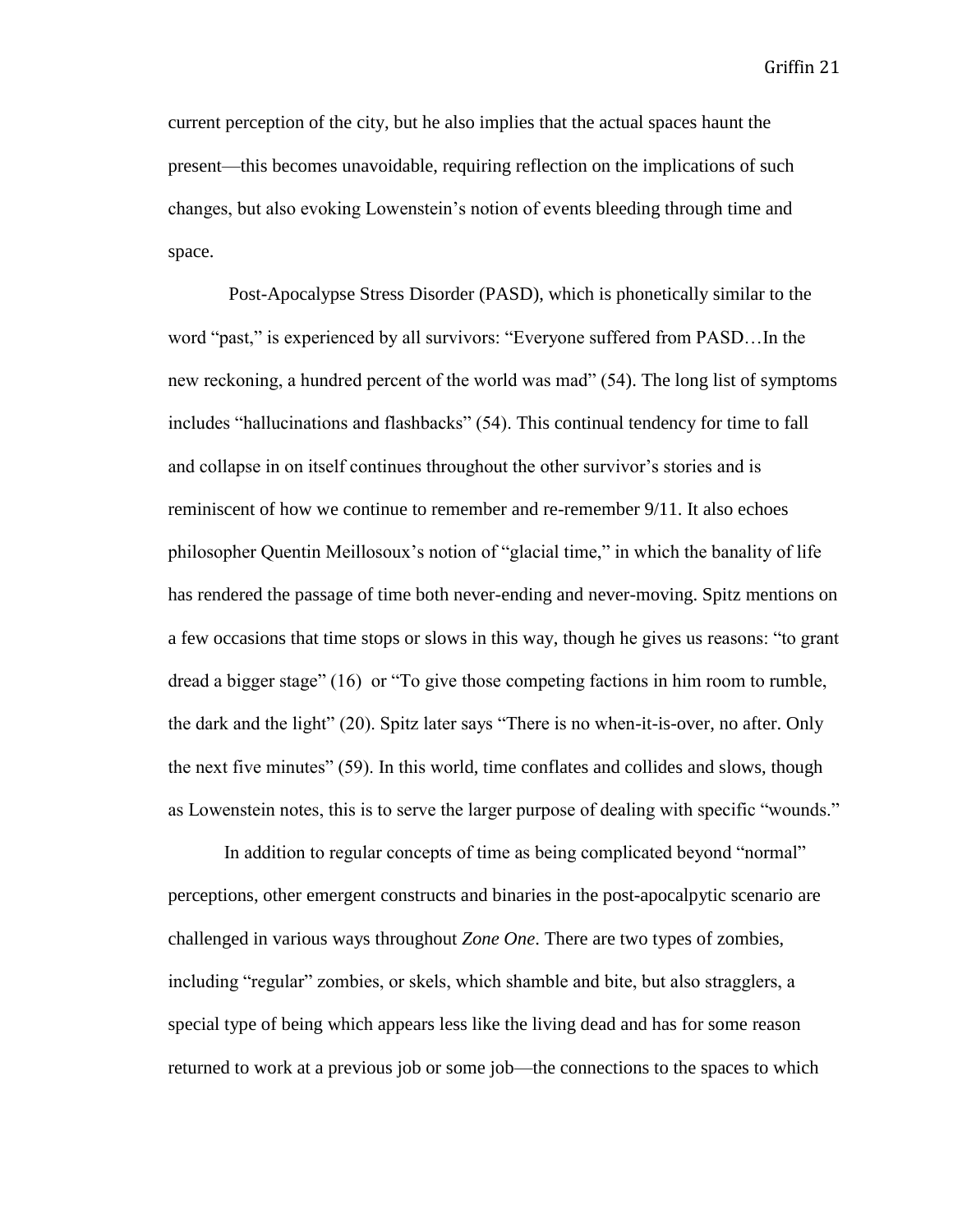current perception of the city, but he also implies that the actual spaces haunt the present—this becomes unavoidable, requiring reflection on the implications of such changes, but also evoking Lowenstein's notion of events bleeding through time and space.

Post-Apocalypse Stress Disorder (PASD), which is phonetically similar to the word "past," is experienced by all survivors: "Everyone suffered from PASD…In the new reckoning, a hundred percent of the world was mad" (54). The long list of symptoms includes "hallucinations and flashbacks" (54). This continual tendency for time to fall and collapse in on itself continues throughout the other survivor's stories and is reminiscent of how we continue to remember and re-remember 9/11. It also echoes philosopher Quentin Meillosoux's notion of "glacial time," in which the banality of life has rendered the passage of time both never-ending and never-moving. Spitz mentions on a few occasions that time stops or slows in this way, though he gives us reasons: "to grant dread a bigger stage" (16) or "To give those competing factions in him room to rumble, the dark and the light" (20). Spitz later says "There is no when-it-is-over, no after. Only the next five minutes" (59). In this world, time conflates and collides and slows, though as Lowenstein notes, this is to serve the larger purpose of dealing with specific "wounds."

In addition to regular concepts of time as being complicated beyond "normal" perceptions, other emergent constructs and binaries in the post-apocalpytic scenario are challenged in various ways throughout *Zone One*. There are two types of zombies, including "regular" zombies, or skels, which shamble and bite, but also stragglers, a special type of being which appears less like the living dead and has for some reason returned to work at a previous job or some job—the connections to the spaces to which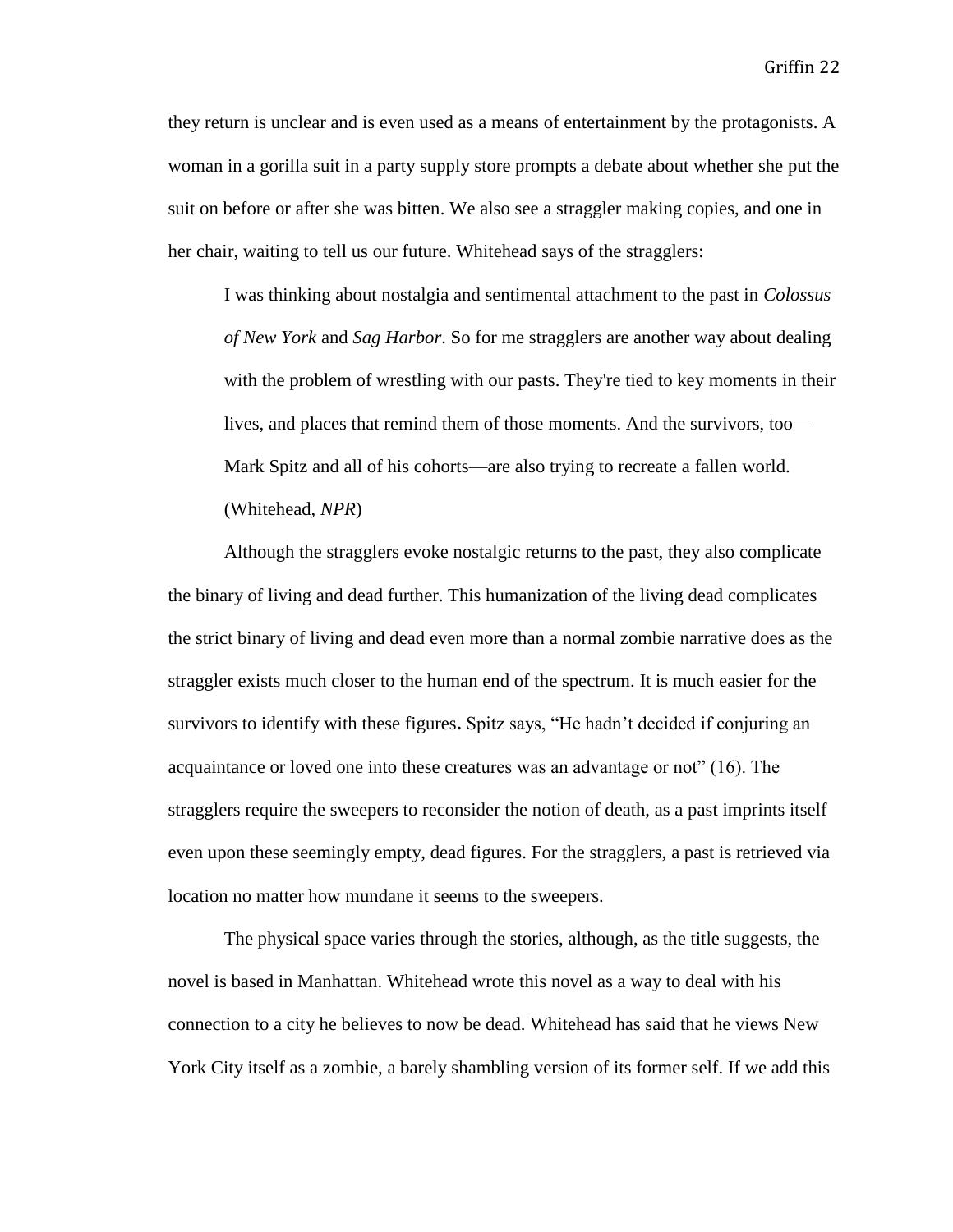they return is unclear and is even used as a means of entertainment by the protagonists. A woman in a gorilla suit in a party supply store prompts a debate about whether she put the suit on before or after she was bitten. We also see a straggler making copies, and one in her chair, waiting to tell us our future. Whitehead says of the stragglers:

I was thinking about nostalgia and sentimental attachment to the past in *Colossus of New York* and *Sag Harbor*. So for me stragglers are another way about dealing with the problem of wrestling with our pasts. They're tied to key moments in their lives, and places that remind them of those moments. And the survivors, too— Mark Spitz and all of his cohorts—are also trying to recreate a fallen world. (Whitehead, *NPR*)

Although the stragglers evoke nostalgic returns to the past, they also complicate the binary of living and dead further. This humanization of the living dead complicates the strict binary of living and dead even more than a normal zombie narrative does as the straggler exists much closer to the human end of the spectrum. It is much easier for the survivors to identify with these figures**.** Spitz says, "He hadn't decided if conjuring an acquaintance or loved one into these creatures was an advantage or not" (16). The stragglers require the sweepers to reconsider the notion of death, as a past imprints itself even upon these seemingly empty, dead figures. For the stragglers, a past is retrieved via location no matter how mundane it seems to the sweepers.

The physical space varies through the stories, although, as the title suggests, the novel is based in Manhattan. Whitehead wrote this novel as a way to deal with his connection to a city he believes to now be dead. Whitehead has said that he views New York City itself as a zombie, a barely shambling version of its former self. If we add this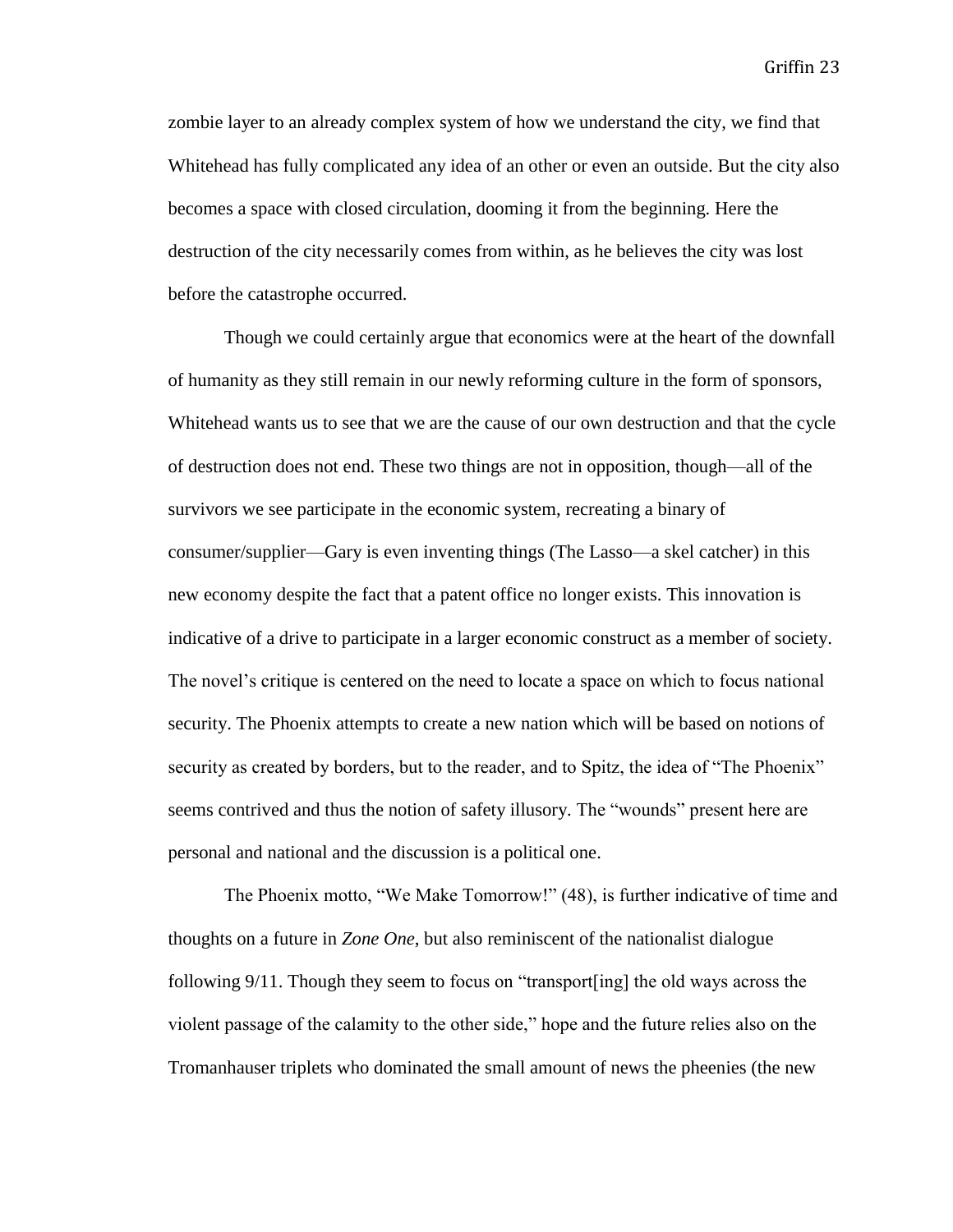zombie layer to an already complex system of how we understand the city, we find that Whitehead has fully complicated any idea of an other or even an outside. But the city also becomes a space with closed circulation, dooming it from the beginning. Here the destruction of the city necessarily comes from within, as he believes the city was lost before the catastrophe occurred.

Though we could certainly argue that economics were at the heart of the downfall of humanity as they still remain in our newly reforming culture in the form of sponsors, Whitehead wants us to see that we are the cause of our own destruction and that the cycle of destruction does not end. These two things are not in opposition, though—all of the survivors we see participate in the economic system, recreating a binary of consumer/supplier—Gary is even inventing things (The Lasso—a skel catcher) in this new economy despite the fact that a patent office no longer exists. This innovation is indicative of a drive to participate in a larger economic construct as a member of society. The novel's critique is centered on the need to locate a space on which to focus national security. The Phoenix attempts to create a new nation which will be based on notions of security as created by borders, but to the reader, and to Spitz, the idea of "The Phoenix" seems contrived and thus the notion of safety illusory. The "wounds" present here are personal and national and the discussion is a political one.

The Phoenix motto, "We Make Tomorrow!" (48), is further indicative of time and thoughts on a future in *Zone One*, but also reminiscent of the nationalist dialogue following 9/11. Though they seem to focus on "transport[ing] the old ways across the violent passage of the calamity to the other side," hope and the future relies also on the Tromanhauser triplets who dominated the small amount of news the pheenies (the new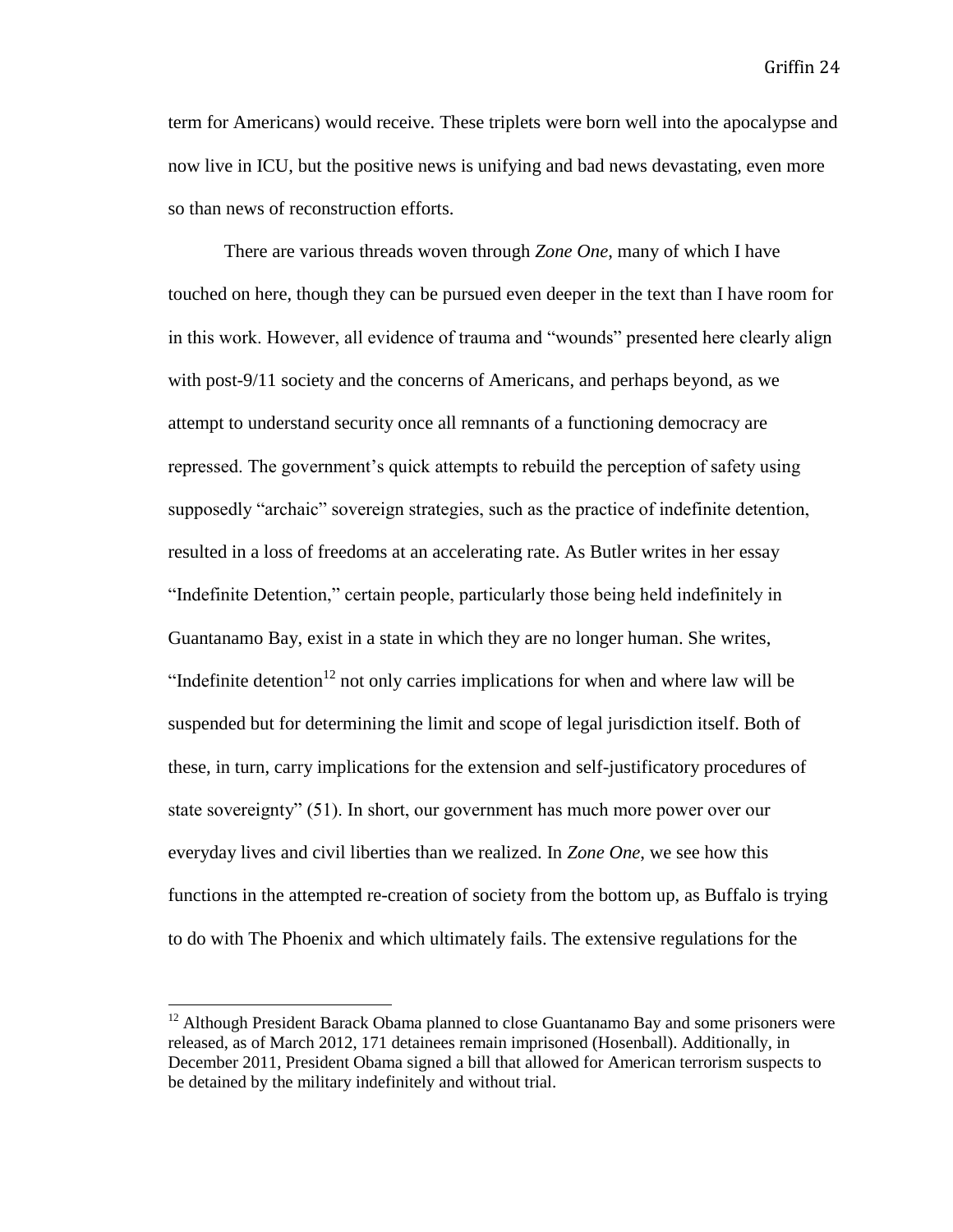term for Americans) would receive. These triplets were born well into the apocalypse and now live in ICU, but the positive news is unifying and bad news devastating, even more so than news of reconstruction efforts.

There are various threads woven through *Zone One*, many of which I have touched on here, though they can be pursued even deeper in the text than I have room for in this work. However, all evidence of trauma and "wounds" presented here clearly align with post-9/11 society and the concerns of Americans, and perhaps beyond, as we attempt to understand security once all remnants of a functioning democracy are repressed. The government's quick attempts to rebuild the perception of safety using supposedly "archaic" sovereign strategies, such as the practice of indefinite detention, resulted in a loss of freedoms at an accelerating rate. As Butler writes in her essay "Indefinite Detention," certain people, particularly those being held indefinitely in Guantanamo Bay, exist in a state in which they are no longer human. She writes, "Indefinite detention<sup>12</sup> not only carries implications for when and where law will be suspended but for determining the limit and scope of legal jurisdiction itself. Both of these, in turn, carry implications for the extension and self-justificatory procedures of state sovereignty" (51). In short, our government has much more power over our everyday lives and civil liberties than we realized. In *Zone One*, we see how this functions in the attempted re-creation of society from the bottom up, as Buffalo is trying to do with The Phoenix and which ultimately fails. The extensive regulations for the

 $12$  Although President Barack Obama planned to close Guantanamo Bay and some prisoners were released, as of March 2012, 171 detainees remain imprisoned (Hosenball). Additionally, in December 2011, President Obama signed a bill that allowed for American terrorism suspects to be detained by the military indefinitely and without trial.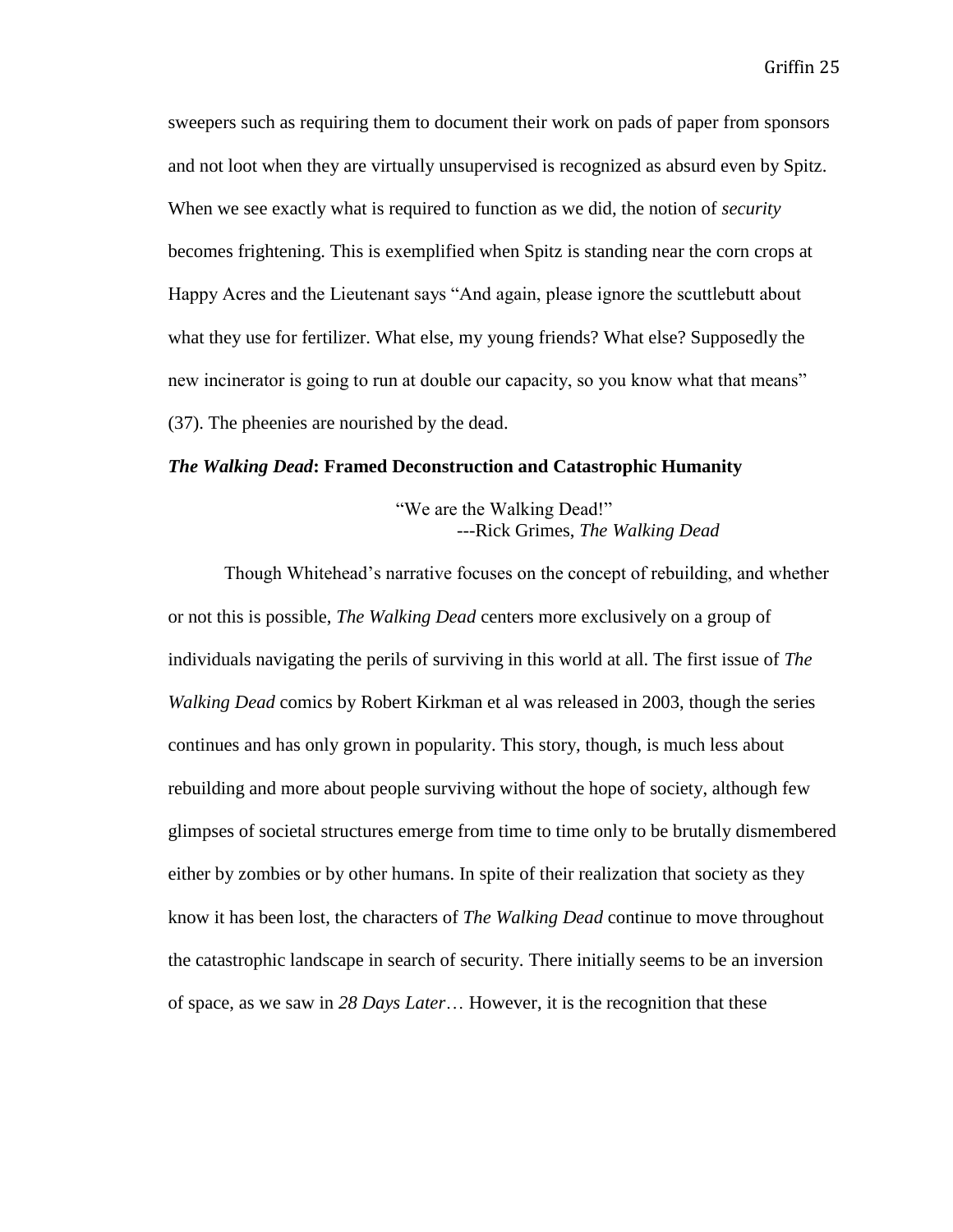sweepers such as requiring them to document their work on pads of paper from sponsors and not loot when they are virtually unsupervised is recognized as absurd even by Spitz. When we see exactly what is required to function as we did, the notion of *security* becomes frightening. This is exemplified when Spitz is standing near the corn crops at Happy Acres and the Lieutenant says "And again, please ignore the scuttlebutt about what they use for fertilizer. What else, my young friends? What else? Supposedly the new incinerator is going to run at double our capacity, so you know what that means" (37). The pheenies are nourished by the dead.

#### *The Walking Dead***: Framed Deconstruction and Catastrophic Humanity**

"We are the Walking Dead!" ---Rick Grimes, *The Walking Dead*

Though Whitehead's narrative focuses on the concept of rebuilding, and whether or not this is possible, *The Walking Dead* centers more exclusively on a group of individuals navigating the perils of surviving in this world at all. The first issue of *The Walking Dead* comics by Robert Kirkman et al was released in 2003, though the series continues and has only grown in popularity. This story, though, is much less about rebuilding and more about people surviving without the hope of society, although few glimpses of societal structures emerge from time to time only to be brutally dismembered either by zombies or by other humans. In spite of their realization that society as they know it has been lost, the characters of *The Walking Dead* continue to move throughout the catastrophic landscape in search of security. There initially seems to be an inversion of space, as we saw in *28 Days Later*… However, it is the recognition that these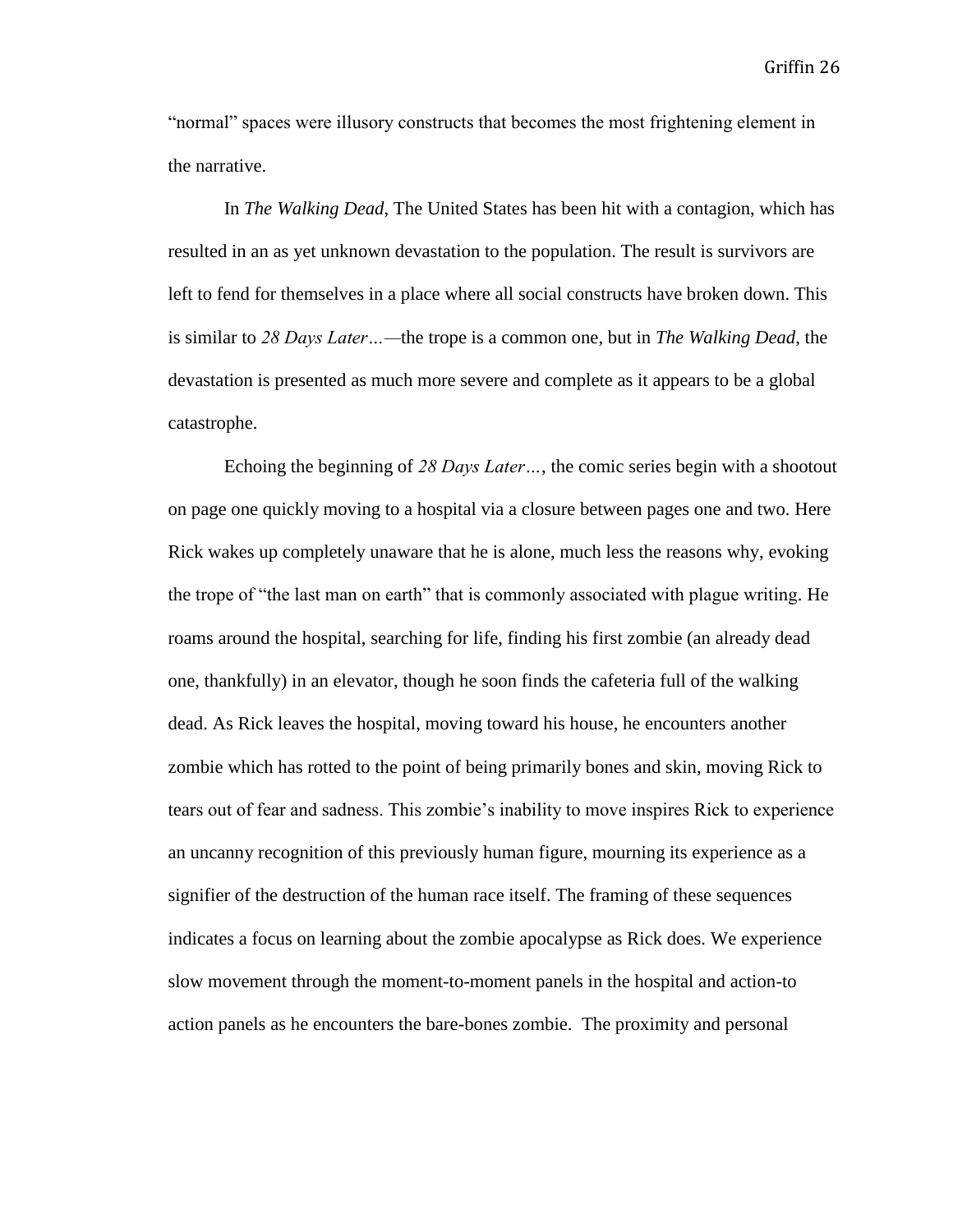"normal" spaces were illusory constructs that becomes the most frightening element in the narrative.

In *The Walking Dead*, The United States has been hit with a contagion, which has resulted in an as yet unknown devastation to the population. The result is survivors are left to fend for themselves in a place where all social constructs have broken down. This is similar to *28 Days Later…—*the trope is a common one, but in *The Walking Dead*, the devastation is presented as much more severe and complete as it appears to be a global catastrophe.

Echoing the beginning of *28 Days Later…*, the comic series begin with a shootout on page one quickly moving to a hospital via a closure between pages one and two. Here Rick wakes up completely unaware that he is alone, much less the reasons why, evoking the trope of "the last man on earth" that is commonly associated with plague writing. He roams around the hospital, searching for life, finding his first zombie (an already dead one, thankfully) in an elevator, though he soon finds the cafeteria full of the walking dead. As Rick leaves the hospital, moving toward his house, he encounters another zombie which has rotted to the point of being primarily bones and skin, moving Rick to tears out of fear and sadness. This zombie's inability to move inspires Rick to experience an uncanny recognition of this previously human figure, mourning its experience as a signifier of the destruction of the human race itself. The framing of these sequences indicates a focus on learning about the zombie apocalypse as Rick does. We experience slow movement through the moment-to-moment panels in the hospital and action-to action panels as he encounters the bare-bones zombie. The proximity and personal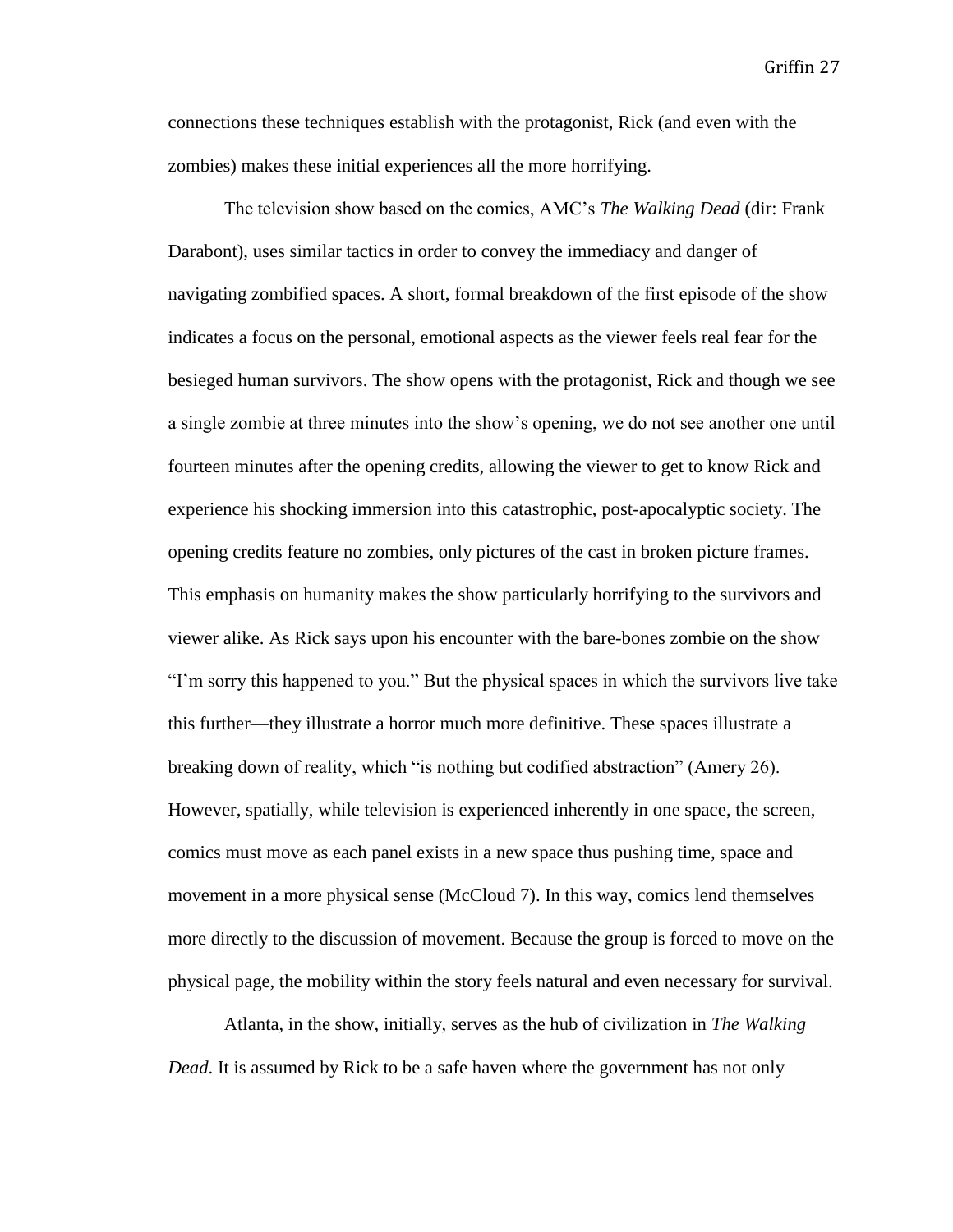connections these techniques establish with the protagonist, Rick (and even with the zombies) makes these initial experiences all the more horrifying.

The television show based on the comics, AMC's *The Walking Dead* (dir: Frank Darabont), uses similar tactics in order to convey the immediacy and danger of navigating zombified spaces. A short, formal breakdown of the first episode of the show indicates a focus on the personal, emotional aspects as the viewer feels real fear for the besieged human survivors. The show opens with the protagonist, Rick and though we see a single zombie at three minutes into the show's opening, we do not see another one until fourteen minutes after the opening credits, allowing the viewer to get to know Rick and experience his shocking immersion into this catastrophic, post-apocalyptic society. The opening credits feature no zombies, only pictures of the cast in broken picture frames. This emphasis on humanity makes the show particularly horrifying to the survivors and viewer alike. As Rick says upon his encounter with the bare-bones zombie on the show "I'm sorry this happened to you." But the physical spaces in which the survivors live take this further—they illustrate a horror much more definitive. These spaces illustrate a breaking down of reality, which "is nothing but codified abstraction" (Amery 26). However, spatially, while television is experienced inherently in one space, the screen, comics must move as each panel exists in a new space thus pushing time, space and movement in a more physical sense (McCloud 7). In this way, comics lend themselves more directly to the discussion of movement. Because the group is forced to move on the physical page, the mobility within the story feels natural and even necessary for survival.

Atlanta, in the show, initially, serves as the hub of civilization in *The Walking Dead*. It is assumed by Rick to be a safe haven where the government has not only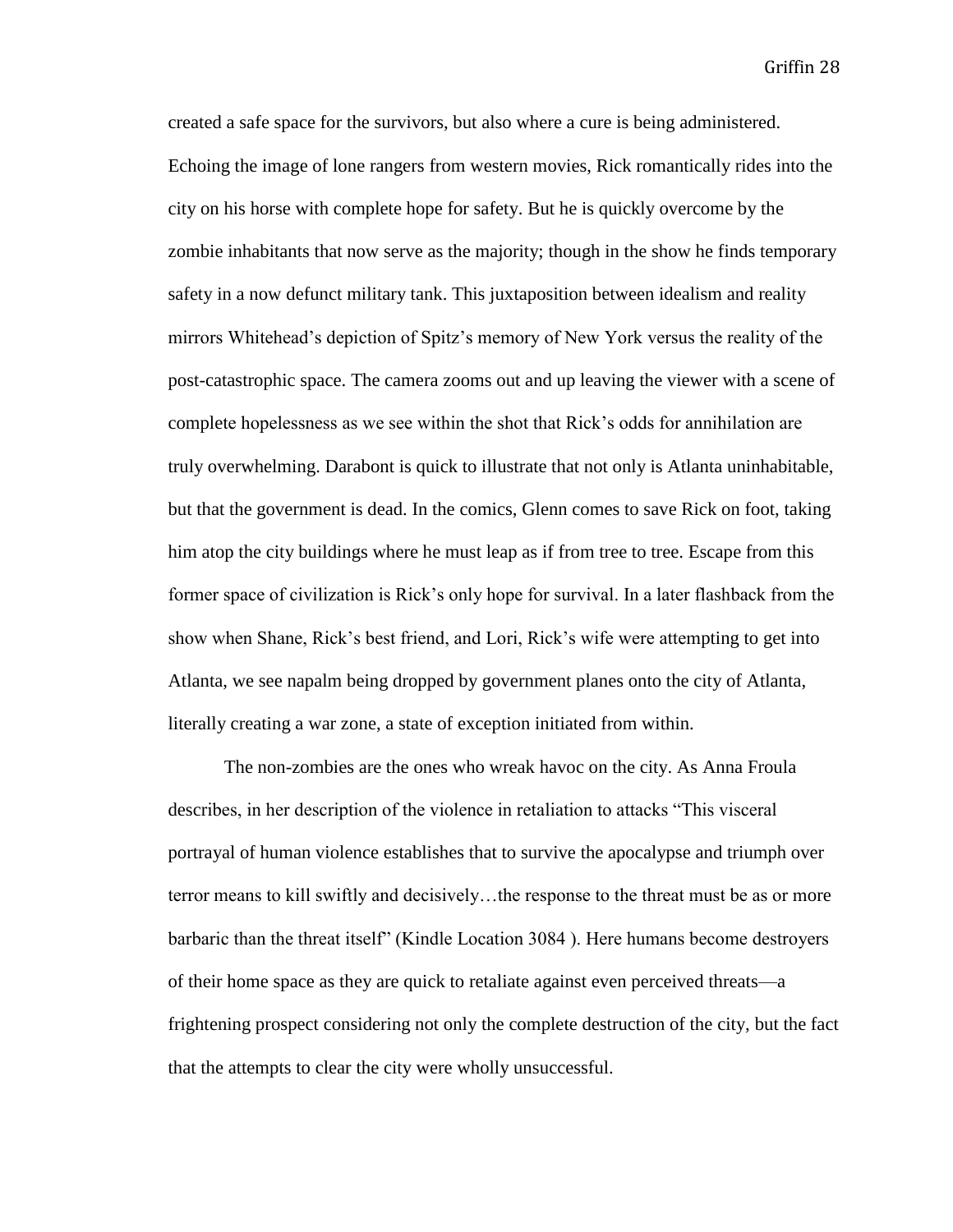created a safe space for the survivors, but also where a cure is being administered. Echoing the image of lone rangers from western movies, Rick romantically rides into the city on his horse with complete hope for safety. But he is quickly overcome by the zombie inhabitants that now serve as the majority; though in the show he finds temporary safety in a now defunct military tank. This juxtaposition between idealism and reality mirrors Whitehead's depiction of Spitz's memory of New York versus the reality of the post-catastrophic space. The camera zooms out and up leaving the viewer with a scene of complete hopelessness as we see within the shot that Rick's odds for annihilation are truly overwhelming. Darabont is quick to illustrate that not only is Atlanta uninhabitable, but that the government is dead. In the comics, Glenn comes to save Rick on foot, taking him atop the city buildings where he must leap as if from tree to tree. Escape from this former space of civilization is Rick's only hope for survival. In a later flashback from the show when Shane, Rick's best friend, and Lori, Rick's wife were attempting to get into Atlanta, we see napalm being dropped by government planes onto the city of Atlanta, literally creating a war zone, a state of exception initiated from within.

The non-zombies are the ones who wreak havoc on the city. As Anna Froula describes, in her description of the violence in retaliation to attacks "This visceral portrayal of human violence establishes that to survive the apocalypse and triumph over terror means to kill swiftly and decisively…the response to the threat must be as or more barbaric than the threat itself" (Kindle Location 3084 ). Here humans become destroyers of their home space as they are quick to retaliate against even perceived threats—a frightening prospect considering not only the complete destruction of the city, but the fact that the attempts to clear the city were wholly unsuccessful.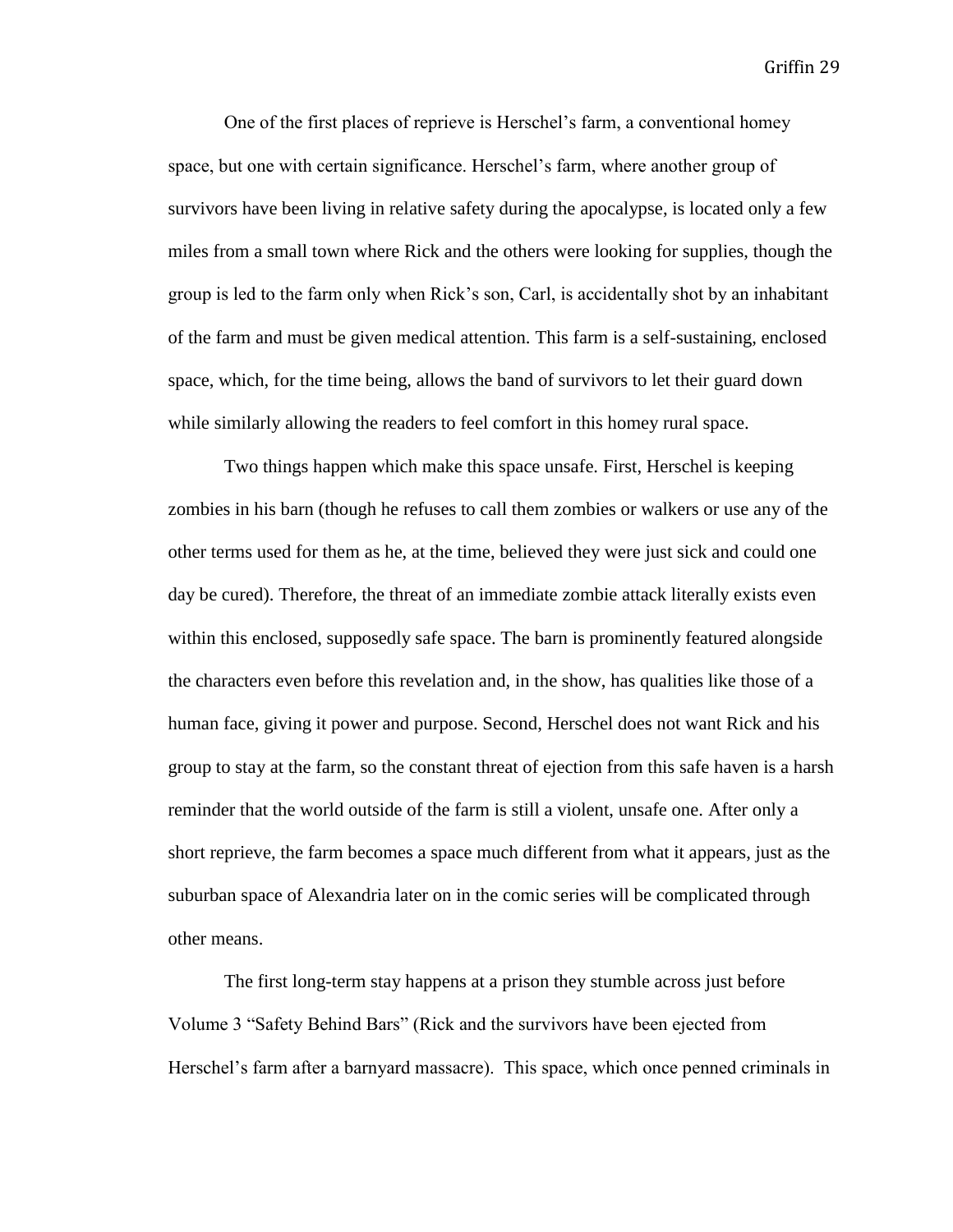One of the first places of reprieve is Herschel's farm, a conventional homey space, but one with certain significance. Herschel's farm, where another group of survivors have been living in relative safety during the apocalypse, is located only a few miles from a small town where Rick and the others were looking for supplies, though the group is led to the farm only when Rick's son, Carl, is accidentally shot by an inhabitant of the farm and must be given medical attention. This farm is a self-sustaining, enclosed space, which, for the time being, allows the band of survivors to let their guard down while similarly allowing the readers to feel comfort in this homey rural space.

Two things happen which make this space unsafe. First, Herschel is keeping zombies in his barn (though he refuses to call them zombies or walkers or use any of the other terms used for them as he, at the time, believed they were just sick and could one day be cured). Therefore, the threat of an immediate zombie attack literally exists even within this enclosed, supposedly safe space. The barn is prominently featured alongside the characters even before this revelation and, in the show, has qualities like those of a human face, giving it power and purpose. Second, Herschel does not want Rick and his group to stay at the farm, so the constant threat of ejection from this safe haven is a harsh reminder that the world outside of the farm is still a violent, unsafe one. After only a short reprieve, the farm becomes a space much different from what it appears, just as the suburban space of Alexandria later on in the comic series will be complicated through other means.

The first long-term stay happens at a prison they stumble across just before Volume 3 "Safety Behind Bars" (Rick and the survivors have been ejected from Herschel's farm after a barnyard massacre). This space, which once penned criminals in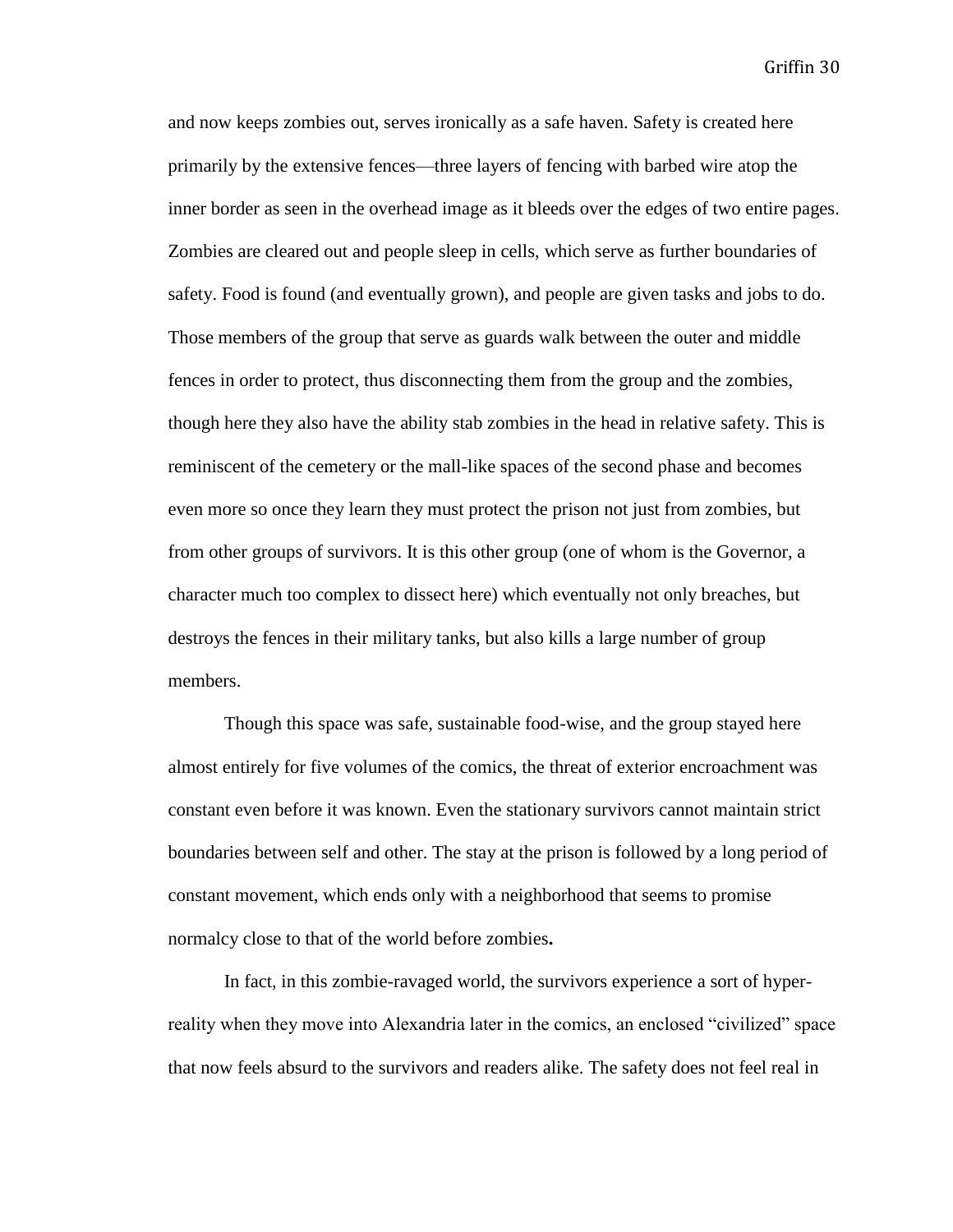and now keeps zombies out, serves ironically as a safe haven. Safety is created here primarily by the extensive fences—three layers of fencing with barbed wire atop the inner border as seen in the overhead image as it bleeds over the edges of two entire pages. Zombies are cleared out and people sleep in cells, which serve as further boundaries of safety. Food is found (and eventually grown), and people are given tasks and jobs to do. Those members of the group that serve as guards walk between the outer and middle fences in order to protect, thus disconnecting them from the group and the zombies, though here they also have the ability stab zombies in the head in relative safety. This is reminiscent of the cemetery or the mall-like spaces of the second phase and becomes even more so once they learn they must protect the prison not just from zombies, but from other groups of survivors. It is this other group (one of whom is the Governor, a character much too complex to dissect here) which eventually not only breaches, but destroys the fences in their military tanks, but also kills a large number of group members.

Though this space was safe, sustainable food-wise, and the group stayed here almost entirely for five volumes of the comics, the threat of exterior encroachment was constant even before it was known. Even the stationary survivors cannot maintain strict boundaries between self and other. The stay at the prison is followed by a long period of constant movement, which ends only with a neighborhood that seems to promise normalcy close to that of the world before zombies**.** 

In fact, in this zombie-ravaged world, the survivors experience a sort of hyperreality when they move into Alexandria later in the comics, an enclosed "civilized" space that now feels absurd to the survivors and readers alike. The safety does not feel real in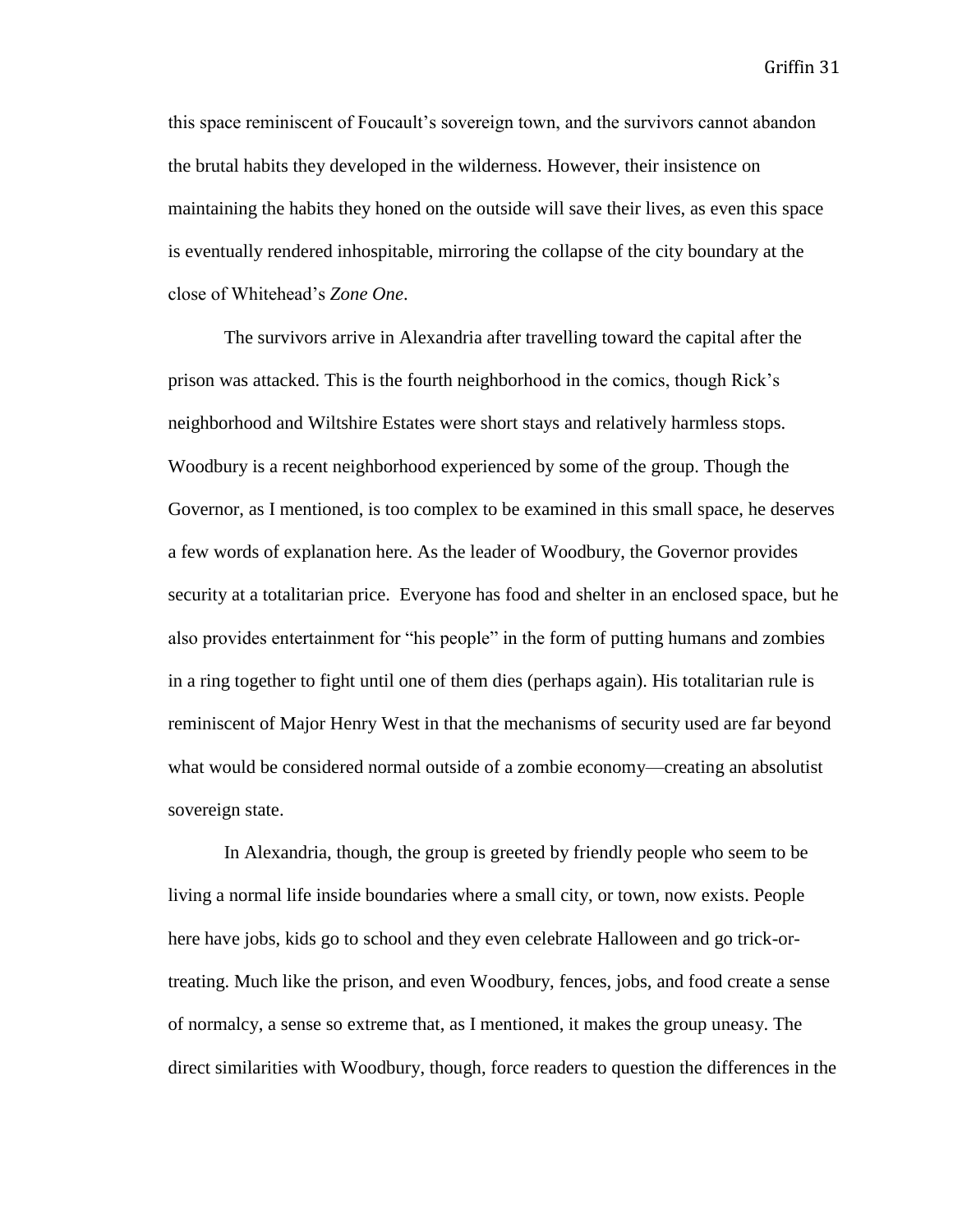this space reminiscent of Foucault's sovereign town, and the survivors cannot abandon the brutal habits they developed in the wilderness. However, their insistence on maintaining the habits they honed on the outside will save their lives, as even this space is eventually rendered inhospitable, mirroring the collapse of the city boundary at the close of Whitehead's *Zone One*.

The survivors arrive in Alexandria after travelling toward the capital after the prison was attacked. This is the fourth neighborhood in the comics, though Rick's neighborhood and Wiltshire Estates were short stays and relatively harmless stops. Woodbury is a recent neighborhood experienced by some of the group. Though the Governor, as I mentioned, is too complex to be examined in this small space, he deserves a few words of explanation here. As the leader of Woodbury, the Governor provides security at a totalitarian price. Everyone has food and shelter in an enclosed space, but he also provides entertainment for "his people" in the form of putting humans and zombies in a ring together to fight until one of them dies (perhaps again). His totalitarian rule is reminiscent of Major Henry West in that the mechanisms of security used are far beyond what would be considered normal outside of a zombie economy—creating an absolutist sovereign state.

In Alexandria, though, the group is greeted by friendly people who seem to be living a normal life inside boundaries where a small city, or town, now exists. People here have jobs, kids go to school and they even celebrate Halloween and go trick-ortreating. Much like the prison, and even Woodbury, fences, jobs, and food create a sense of normalcy, a sense so extreme that, as I mentioned, it makes the group uneasy. The direct similarities with Woodbury, though, force readers to question the differences in the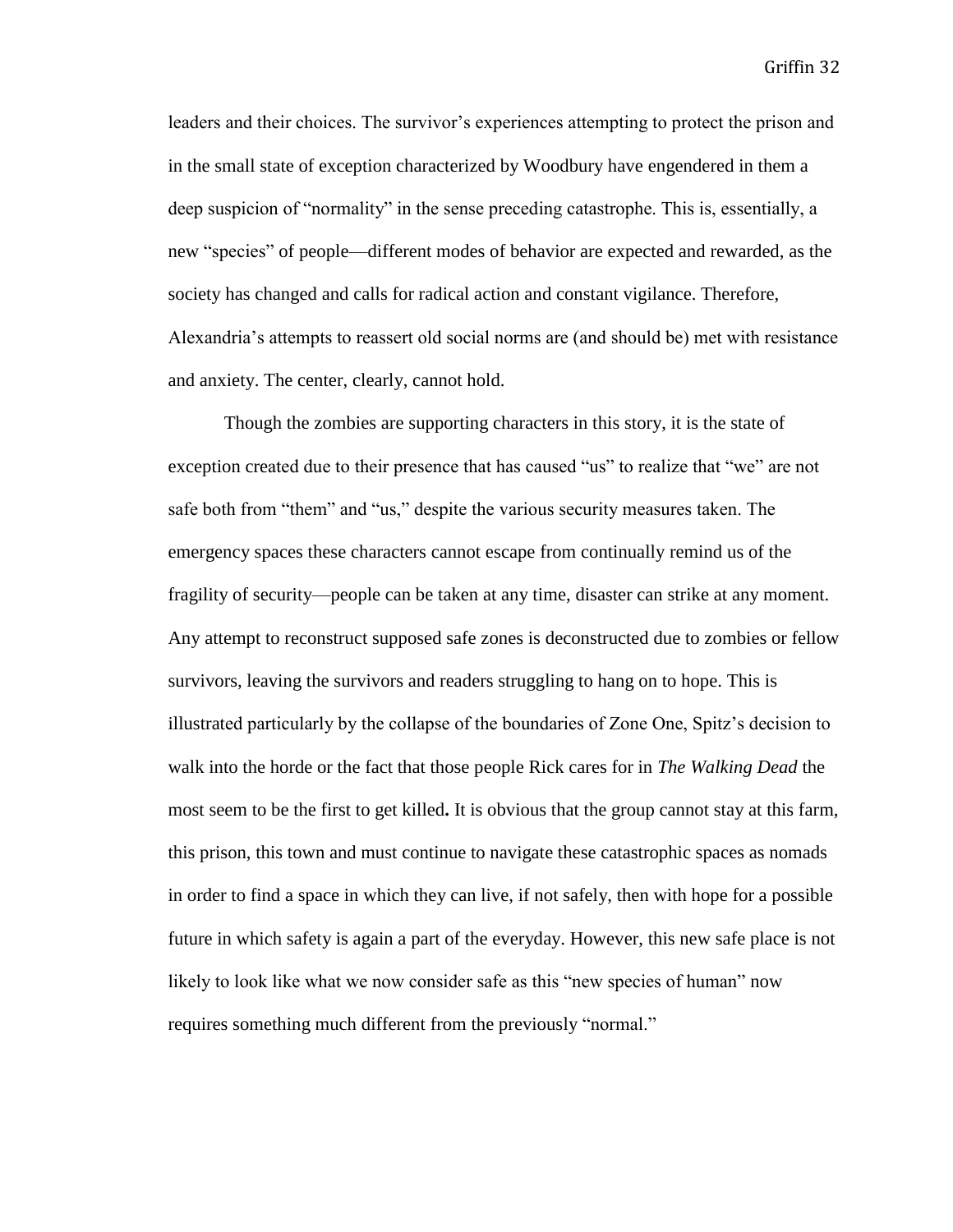leaders and their choices. The survivor's experiences attempting to protect the prison and in the small state of exception characterized by Woodbury have engendered in them a deep suspicion of "normality" in the sense preceding catastrophe. This is, essentially, a new "species" of people—different modes of behavior are expected and rewarded, as the society has changed and calls for radical action and constant vigilance. Therefore, Alexandria's attempts to reassert old social norms are (and should be) met with resistance and anxiety. The center, clearly, cannot hold.

Though the zombies are supporting characters in this story, it is the state of exception created due to their presence that has caused "us" to realize that "we" are not safe both from "them" and "us," despite the various security measures taken. The emergency spaces these characters cannot escape from continually remind us of the fragility of security—people can be taken at any time, disaster can strike at any moment. Any attempt to reconstruct supposed safe zones is deconstructed due to zombies or fellow survivors, leaving the survivors and readers struggling to hang on to hope. This is illustrated particularly by the collapse of the boundaries of Zone One, Spitz's decision to walk into the horde or the fact that those people Rick cares for in *The Walking Dead* the most seem to be the first to get killed**.** It is obvious that the group cannot stay at this farm, this prison, this town and must continue to navigate these catastrophic spaces as nomads in order to find a space in which they can live, if not safely, then with hope for a possible future in which safety is again a part of the everyday. However, this new safe place is not likely to look like what we now consider safe as this "new species of human" now requires something much different from the previously "normal."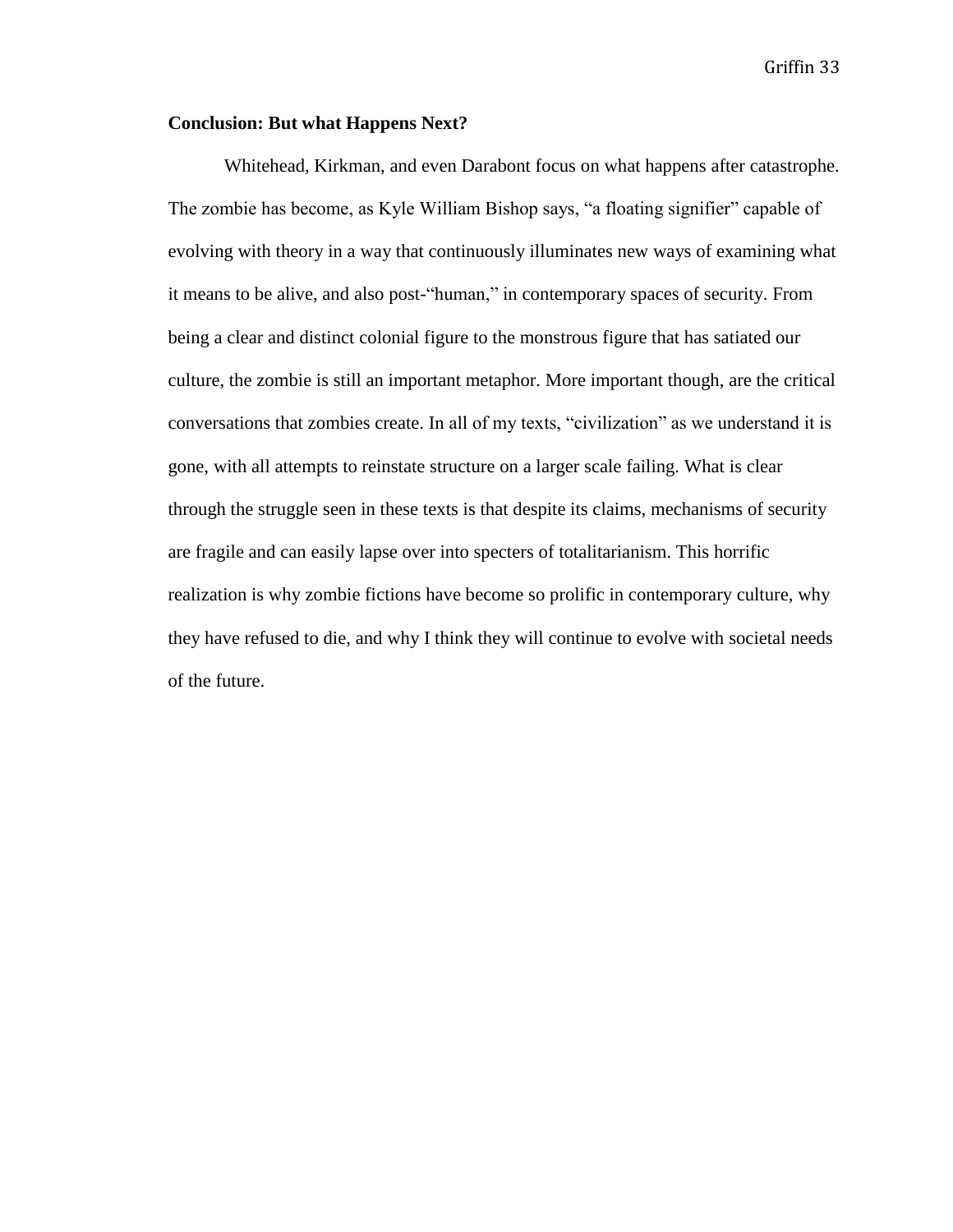#### **Conclusion: But what Happens Next?**

Whitehead, Kirkman, and even Darabont focus on what happens after catastrophe. The zombie has become, as Kyle William Bishop says, "a floating signifier" capable of evolving with theory in a way that continuously illuminates new ways of examining what it means to be alive, and also post-"human," in contemporary spaces of security. From being a clear and distinct colonial figure to the monstrous figure that has satiated our culture, the zombie is still an important metaphor. More important though, are the critical conversations that zombies create. In all of my texts, "civilization" as we understand it is gone, with all attempts to reinstate structure on a larger scale failing. What is clear through the struggle seen in these texts is that despite its claims, mechanisms of security are fragile and can easily lapse over into specters of totalitarianism. This horrific realization is why zombie fictions have become so prolific in contemporary culture, why they have refused to die, and why I think they will continue to evolve with societal needs of the future.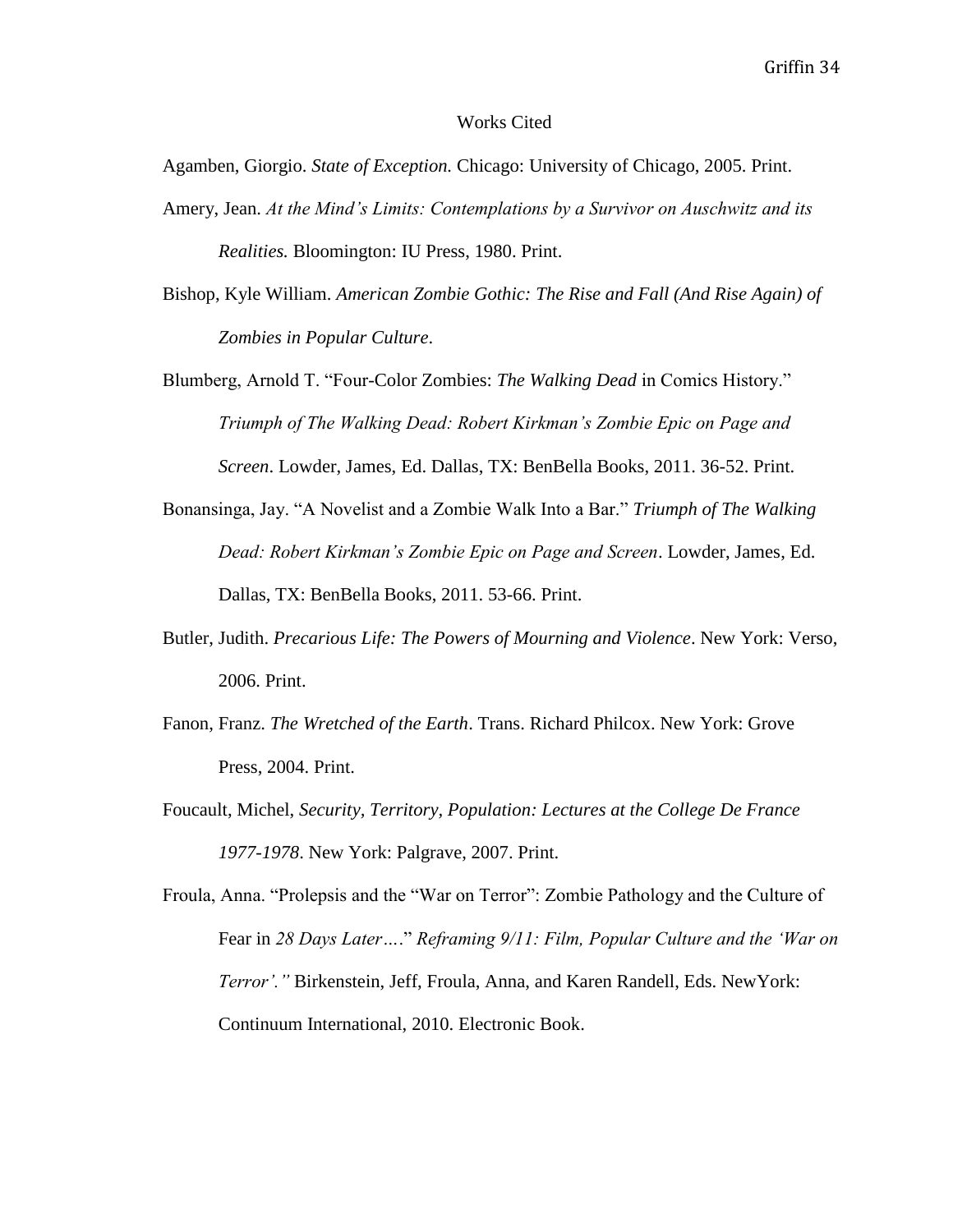#### Works Cited

Agamben, Giorgio. *State of Exception.* Chicago: University of Chicago, 2005. Print.

- Amery, Jean. *At the Mind's Limits: Contemplations by a Survivor on Auschwitz and its Realities.* Bloomington: IU Press, 1980. Print.
- Bishop, Kyle William. *American Zombie Gothic: The Rise and Fall (And Rise Again) of Zombies in Popular Culture*.
- Blumberg, Arnold T. "Four-Color Zombies: *The Walking Dead* in Comics History." *Triumph of The Walking Dead: Robert Kirkman's Zombie Epic on Page and Screen*. Lowder, James, Ed. Dallas, TX: BenBella Books, 2011. 36-52. Print.
- Bonansinga, Jay. "A Novelist and a Zombie Walk Into a Bar." *Triumph of The Walking Dead: Robert Kirkman's Zombie Epic on Page and Screen*. Lowder, James, Ed. Dallas, TX: BenBella Books, 2011. 53-66. Print.
- Butler, Judith. *Precarious Life: The Powers of Mourning and Violence*. New York: Verso, 2006. Print.
- Fanon, Franz. *The Wretched of the Earth*. Trans. Richard Philcox. New York: Grove Press, 2004. Print.
- Foucault, Michel, *Security, Territory, Population: Lectures at the College De France 1977-1978*. New York: Palgrave, 2007. Print.

Froula, Anna. "Prolepsis and the "War on Terror": Zombie Pathology and the Culture of Fear in *28 Days Later…*." *Reframing 9/11: Film, Popular Culture and the 'War on Terror'."* Birkenstein, Jeff, Froula, Anna, and Karen Randell, Eds. NewYork: Continuum International, 2010. Electronic Book.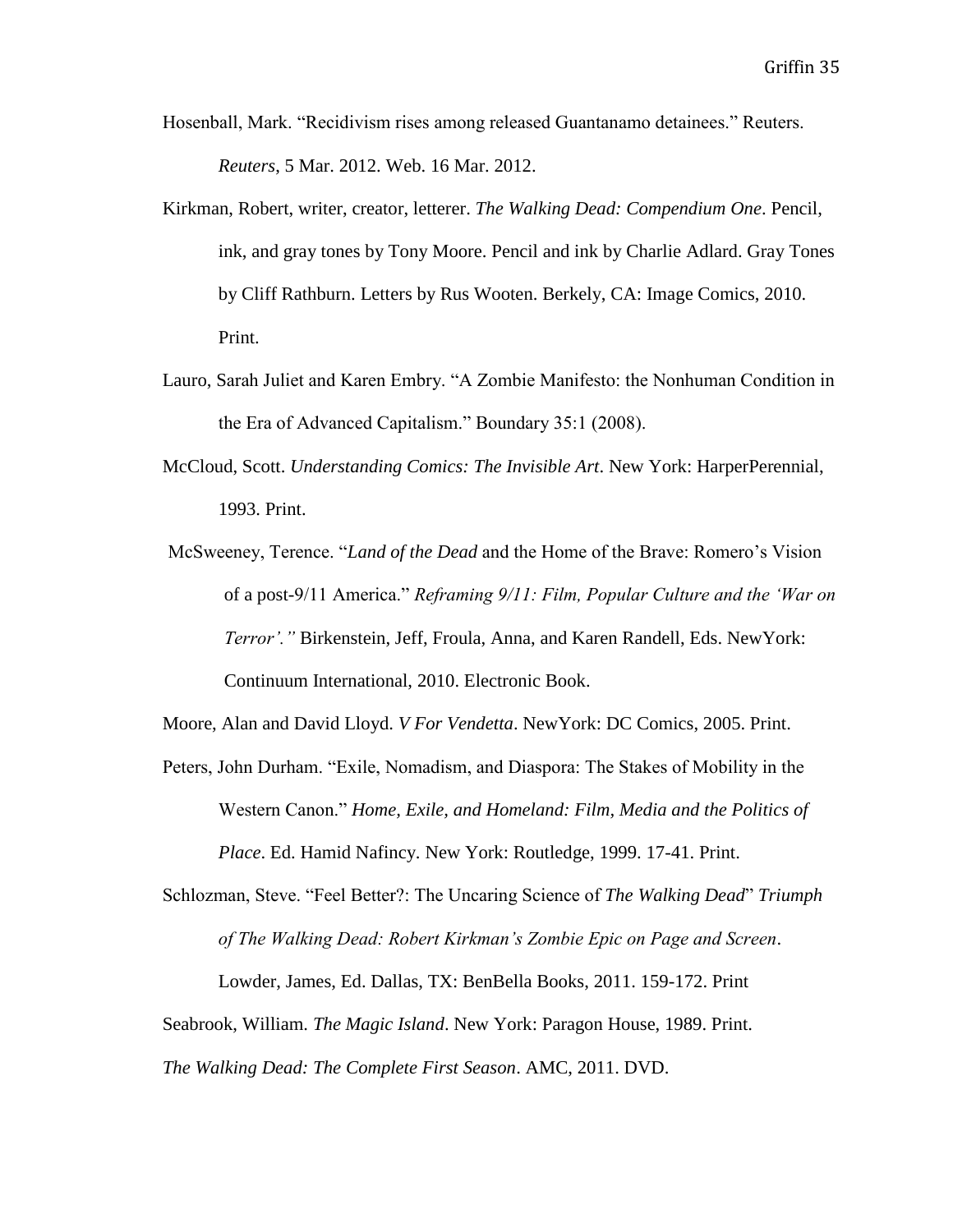- Hosenball, Mark. "Recidivism rises among released Guantanamo detainees." Reuters. *Reuters*, 5 Mar. 2012. Web. 16 Mar. 2012.
- Kirkman, Robert, writer, creator, letterer. *The Walking Dead: Compendium One*. Pencil, ink, and gray tones by Tony Moore. Pencil and ink by Charlie Adlard. Gray Tones by Cliff Rathburn. Letters by Rus Wooten. Berkely, CA: Image Comics, 2010. Print.
- Lauro, Sarah Juliet and Karen Embry. "A Zombie Manifesto: the Nonhuman Condition in the Era of Advanced Capitalism." Boundary 35:1 (2008).
- McCloud, Scott. *Understanding Comics: The Invisible Art*. New York: HarperPerennial, 1993. Print.
- McSweeney, Terence. "*Land of the Dead* and the Home of the Brave: Romero's Vision of a post-9/11 America." *Reframing 9/11: Film, Popular Culture and the 'War on Terror'."* Birkenstein, Jeff, Froula, Anna, and Karen Randell, Eds. NewYork: Continuum International, 2010. Electronic Book.

Moore, Alan and David Lloyd. *V For Vendetta*. NewYork: DC Comics, 2005. Print.

Peters, John Durham. "Exile, Nomadism, and Diaspora: The Stakes of Mobility in the Western Canon." *Home, Exile, and Homeland: Film, Media and the Politics of Place*. Ed. Hamid Nafincy. New York: Routledge, 1999. 17-41. Print.

Schlozman, Steve. "Feel Better?: The Uncaring Science of *The Walking Dead*" *Triumph of The Walking Dead: Robert Kirkman's Zombie Epic on Page and Screen*.

Lowder, James, Ed. Dallas, TX: BenBella Books, 2011. 159-172. Print

Seabrook, William. *The Magic Island*. New York: Paragon House, 1989. Print.

*The Walking Dead: The Complete First Season*. AMC, 2011. DVD.